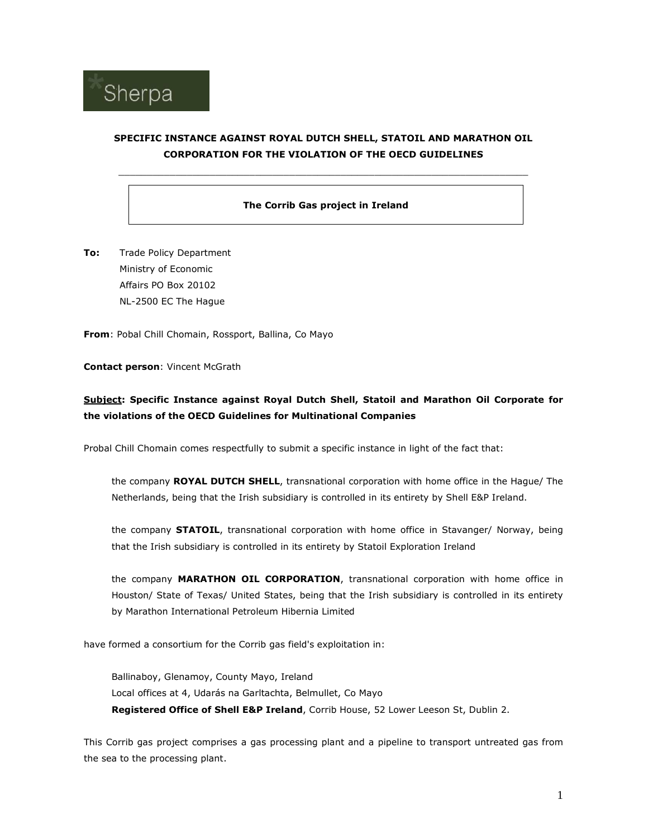

# SPECIFIC INSTANCE AGAINST ROYAL DUTCH SHELL, STATOIL AND MARATHON OIL CORPORATION FOR THE VIOLATION OF THE OECD GUIDELINES

 $\_$  , and the set of the set of the set of the set of the set of the set of the set of the set of the set of the set of the set of the set of the set of the set of the set of the set of the set of the set of the set of th

## The Corrib Gas project in Ireland

To: Trade Policy Department Ministry of Economic Affairs PO Box 20102 NL-2500 EC The Hague

From: Pobal Chill Chomain, Rossport, Ballina, Co Mayo

### Contact person: Vincent McGrath

# Subject: Specific Instance against Royal Dutch Shell, Statoil and Marathon Oil Corporate for the violations of the OECD Guidelines for Multinational Companies

Probal Chill Chomain comes respectfully to submit a specific instance in light of the fact that:

the company ROYAL DUTCH SHELL, transnational corporation with home office in the Hague/ The Netherlands, being that the Irish subsidiary is controlled in its entirety by Shell E&P Ireland.

the company **STATOIL**, transnational corporation with home office in Stavanger/ Norway, being that the Irish subsidiary is controlled in its entirety by Statoil Exploration Ireland

the company MARATHON OIL CORPORATION, transnational corporation with home office in Houston/ State of Texas/ United States, being that the Irish subsidiary is controlled in its entirety by Marathon International Petroleum Hibernia Limited

have formed a consortium for the Corrib gas field's exploitation in:

Ballinaboy, Glenamoy, County Mayo, Ireland Local offices at 4, Udarás na Garltachta, Belmullet, Co Mayo Registered Office of Shell E&P Ireland, Corrib House, 52 Lower Leeson St, Dublin 2.

This Corrib gas project comprises a gas processing plant and a pipeline to transport untreated gas from the sea to the processing plant.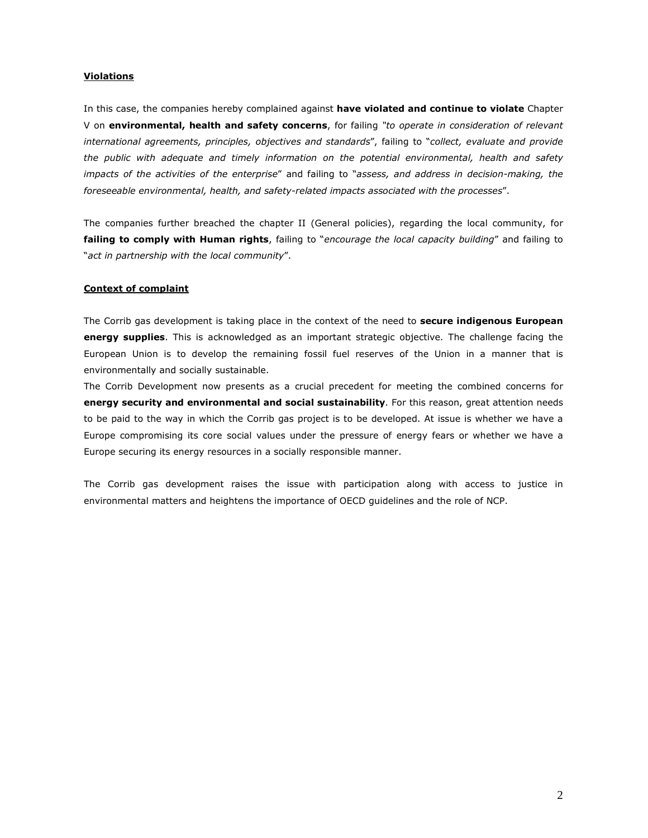## **Violations**

In this case, the companies hereby complained against have violated and continue to violate Chapter V on environmental, health and safety concerns, for failing "to operate in consideration of relevant international agreements, principles, objectives and standards", failing to "collect, evaluate and provide the public with adequate and timely information on the potential environmental, health and safety impacts of the activities of the enterprise" and failing to "assess, and address in decision-making, the foreseeable environmental, health, and safety-related impacts associated with the processes".

The companies further breached the chapter II (General policies), regarding the local community, for failing to comply with Human rights, failing to "encourage the local capacity building" and failing to "act in partnership with the local community".

### Context of complaint

The Corrib gas development is taking place in the context of the need to **secure indigenous European** energy supplies. This is acknowledged as an important strategic objective. The challenge facing the European Union is to develop the remaining fossil fuel reserves of the Union in a manner that is environmentally and socially sustainable.

The Corrib Development now presents as a crucial precedent for meeting the combined concerns for energy security and environmental and social sustainability. For this reason, great attention needs to be paid to the way in which the Corrib gas project is to be developed. At issue is whether we have a Europe compromising its core social values under the pressure of energy fears or whether we have a Europe securing its energy resources in a socially responsible manner.

The Corrib gas development raises the issue with participation along with access to justice in environmental matters and heightens the importance of OECD guidelines and the role of NCP.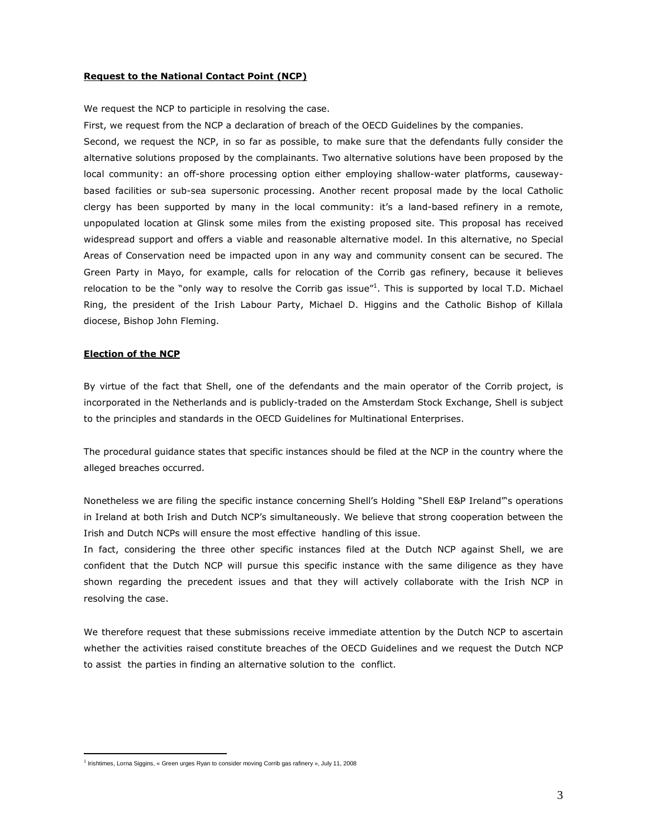### Request to the National Contact Point (NCP)

We request the NCP to participle in resolving the case.

First, we request from the NCP a declaration of breach of the OECD Guidelines by the companies.

Second, we request the NCP, in so far as possible, to make sure that the defendants fully consider the alternative solutions proposed by the complainants. Two alternative solutions have been proposed by the local community: an off-shore processing option either employing shallow-water platforms, causewaybased facilities or sub-sea supersonic processing. Another recent proposal made by the local Catholic clergy has been supported by many in the local community: it's a land-based refinery in a remote, unpopulated location at Glinsk some miles from the existing proposed site. This proposal has received widespread support and offers a viable and reasonable alternative model. In this alternative, no Special Areas of Conservation need be impacted upon in any way and community consent can be secured. The Green Party in Mayo, for example, calls for relocation of the Corrib gas refinery, because it believes relocation to be the "only way to resolve the Corrib gas issue"<sup>1</sup>. This is supported by local T.D. Michael Ring, the president of the Irish Labour Party, Michael D. Higgins and the Catholic Bishop of Killala diocese, Bishop John Fleming.

#### Election of the NCP

 $\overline{a}$ 

By virtue of the fact that Shell, one of the defendants and the main operator of the Corrib project, is incorporated in the Netherlands and is publicly-traded on the Amsterdam Stock Exchange, Shell is subject to the principles and standards in the OECD Guidelines for Multinational Enterprises.

The procedural guidance states that specific instances should be filed at the NCP in the country where the alleged breaches occurred.

Nonetheless we are filing the specific instance concerning Shell's Holding "Shell E&P Ireland"'s operations in Ireland at both Irish and Dutch NCP's simultaneously. We believe that strong cooperation between the Irish and Dutch NCPs will ensure the most effective handling of this issue.

In fact, considering the three other specific instances filed at the Dutch NCP against Shell, we are confident that the Dutch NCP will pursue this specific instance with the same diligence as they have shown regarding the precedent issues and that they will actively collaborate with the Irish NCP in resolving the case.

We therefore request that these submissions receive immediate attention by the Dutch NCP to ascertain whether the activities raised constitute breaches of the OECD Guidelines and we request the Dutch NCP to assist the parties in finding an alternative solution to the conflict.

<sup>&</sup>lt;sup>1</sup> Irishtimes, Lorna Siggins, « Green urges Ryan to consider moving Corrib gas rafinery », July 11, 2008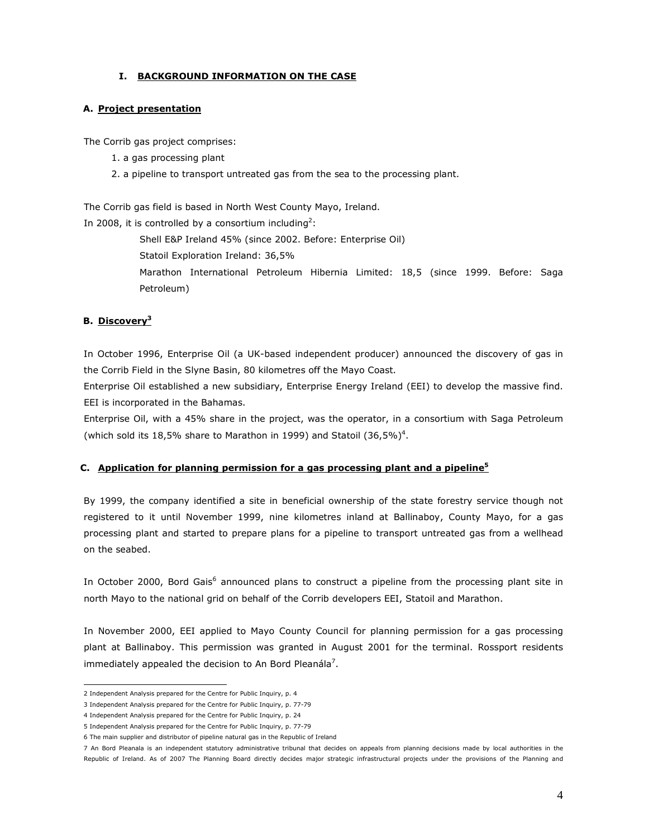## I. BACKGROUND INFORMATION ON THE CASE

### A. Project presentation

The Corrib gas project comprises:

- 1. a gas processing plant
- 2. a pipeline to transport untreated gas from the sea to the processing plant.

The Corrib gas field is based in North West County Mayo, Ireland. In 2008, it is controlled by a consortium including<sup>2</sup>:

Shell E&P Ireland 45% (since 2002. Before: Enterprise Oil)

Statoil Exploration Ireland: 36,5%

Marathon International Petroleum Hibernia Limited: 18,5 (since 1999. Before: Saga Petroleum)

## B. Discovery<sup>3</sup>

In October 1996, Enterprise Oil (a UK-based independent producer) announced the discovery of gas in the Corrib Field in the Slyne Basin, 80 kilometres off the Mayo Coast.

Enterprise Oil established a new subsidiary, Enterprise Energy Ireland (EEI) to develop the massive find. EEI is incorporated in the Bahamas.

Enterprise Oil, with a 45% share in the project, was the operator, in a consortium with Saga Petroleum (which sold its 18,5% share to Marathon in 1999) and Statoil  $(36,5\%)^4$ .

#### C. Application for planning permission for a gas processing plant and a pipeline<sup>5</sup>

By 1999, the company identified a site in beneficial ownership of the state forestry service though not registered to it until November 1999, nine kilometres inland at Ballinaboy, County Mayo, for a gas processing plant and started to prepare plans for a pipeline to transport untreated gas from a wellhead on the seabed.

In October 2000, Bord Gais<sup>6</sup> announced plans to construct a pipeline from the processing plant site in north Mayo to the national grid on behalf of the Corrib developers EEI, Statoil and Marathon.

In November 2000, EEI applied to Mayo County Council for planning permission for a gas processing plant at Ballinaboy. This permission was granted in August 2001 for the terminal. Rossport residents immediately appealed the decision to An Bord Pleanála<sup>7</sup>.

 2 Independent Analysis prepared for the Centre for Public Inquiry, p. 4

<sup>3</sup> Independent Analysis prepared for the Centre for Public Inquiry, p. 77-79

<sup>4</sup> Independent Analysis prepared for the Centre for Public Inquiry, p. 24

<sup>5</sup> Independent Analysis prepared for the Centre for Public Inquiry, p. 77-79

<sup>6</sup> The main supplier and distributor of pipeline natural gas in the Republic of Ireland

<sup>7</sup> An Bord Pleanala is an independent statutory administrative tribunal that decides on appeals from planning decisions made by local authorities in the Republic of Ireland. As of 2007 The Planning Board directly decides major strategic infrastructural projects under the provisions of the Planning and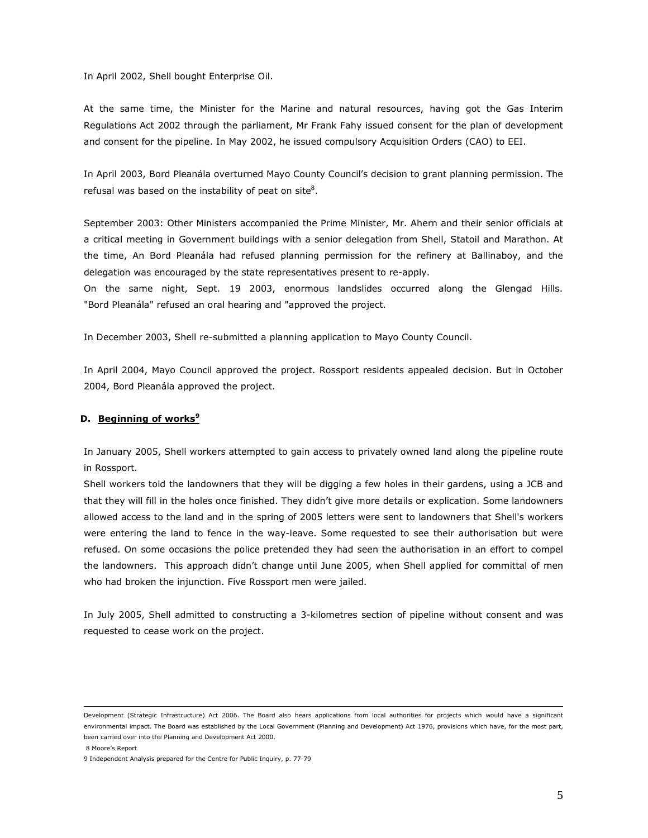In April 2002, Shell bought Enterprise Oil.

At the same time, the Minister for the Marine and natural resources, having got the Gas Interim Regulations Act 2002 through the parliament, Mr Frank Fahy issued consent for the plan of development and consent for the pipeline. In May 2002, he issued compulsory Acquisition Orders (CAO) to EEI.

In April 2003, Bord Pleanála overturned Mayo County Council's decision to grant planning permission. The refusal was based on the instability of peat on site<sup>8</sup>.

September 2003: Other Ministers accompanied the Prime Minister, Mr. Ahern and their senior officials at a critical meeting in Government buildings with a senior delegation from Shell, Statoil and Marathon. At the time, An Bord Pleanála had refused planning permission for the refinery at Ballinaboy, and the delegation was encouraged by the state representatives present to re-apply.

On the same night, Sept. 19 2003, enormous landslides occurred along the Glengad Hills. "Bord Pleanála" refused an oral hearing and "approved the project.

In December 2003, Shell re-submitted a planning application to Mayo County Council.

In April 2004, Mayo Council approved the project. Rossport residents appealed decision. But in October 2004, Bord Pleanála approved the project.

## D. Beginning of works<sup>9</sup>

In January 2005, Shell workers attempted to gain access to privately owned land along the pipeline route in Rossport.

Shell workers told the landowners that they will be digging a few holes in their gardens, using a JCB and that they will fill in the holes once finished. They didn't give more details or explication. Some landowners allowed access to the land and in the spring of 2005 letters were sent to landowners that Shell's workers were entering the land to fence in the way-leave. Some requested to see their authorisation but were refused. On some occasions the police pretended they had seen the authorisation in an effort to compel the landowners. This approach didn't change until June 2005, when Shell applied for committal of men who had broken the injunction. Five Rossport men were jailed.

In July 2005, Shell admitted to constructing a 3-kilometres section of pipeline without consent and was requested to cease work on the project.

 Development (Strategic Infrastructure) Act 2006. The Board also hears applications from local authorities for projects which would have a significant environmental impact. The Board was established by the Local Government (Planning and Development) Act 1976, provisions which have, for the most part, been carried over into the Planning and Development Act 2000.

 <sup>8</sup> Moore's Report

<sup>9</sup> Independent Analysis prepared for the Centre for Public Inquiry, p. 77-79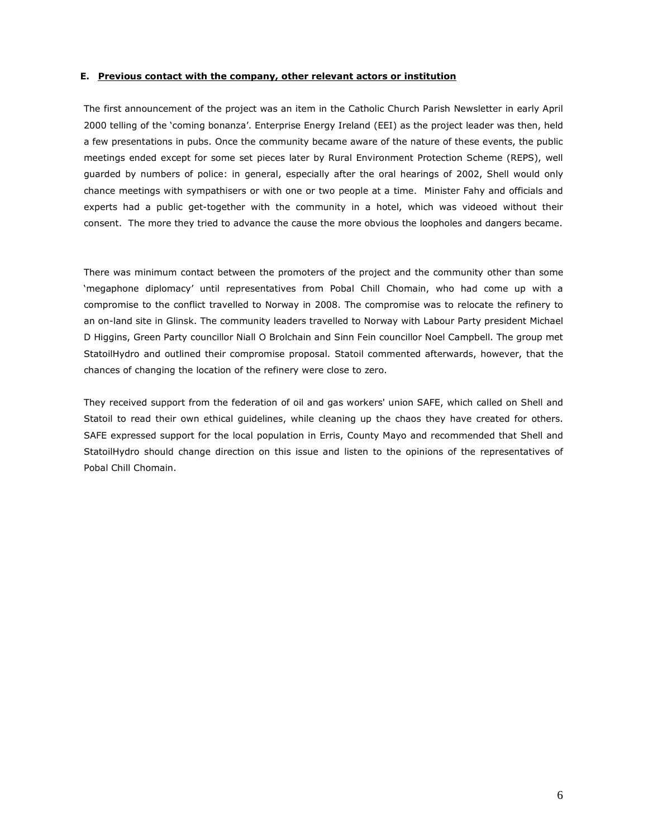### E. Previous contact with the company, other relevant actors or institution

The first announcement of the project was an item in the Catholic Church Parish Newsletter in early April 2000 telling of the 'coming bonanza'. Enterprise Energy Ireland (EEI) as the project leader was then, held a few presentations in pubs. Once the community became aware of the nature of these events, the public meetings ended except for some set pieces later by Rural Environment Protection Scheme (REPS), well guarded by numbers of police: in general, especially after the oral hearings of 2002, Shell would only chance meetings with sympathisers or with one or two people at a time. Minister Fahy and officials and experts had a public get-together with the community in a hotel, which was videoed without their consent. The more they tried to advance the cause the more obvious the loopholes and dangers became.

There was minimum contact between the promoters of the project and the community other than some 'megaphone diplomacy' until representatives from Pobal Chill Chomain, who had come up with a compromise to the conflict travelled to Norway in 2008. The compromise was to relocate the refinery to an on-land site in Glinsk. The community leaders travelled to Norway with Labour Party president Michael D Higgins, Green Party councillor Niall O Brolchain and Sinn Fein councillor Noel Campbell. The group met StatoilHydro and outlined their compromise proposal. Statoil commented afterwards, however, that the chances of changing the location of the refinery were close to zero.

They received support from the federation of oil and gas workers' union SAFE, which called on Shell and Statoil to read their own ethical guidelines, while cleaning up the chaos they have created for others. SAFE expressed support for the local population in Erris, County Mayo and recommended that Shell and StatoilHydro should change direction on this issue and listen to the opinions of the representatives of Pobal Chill Chomain.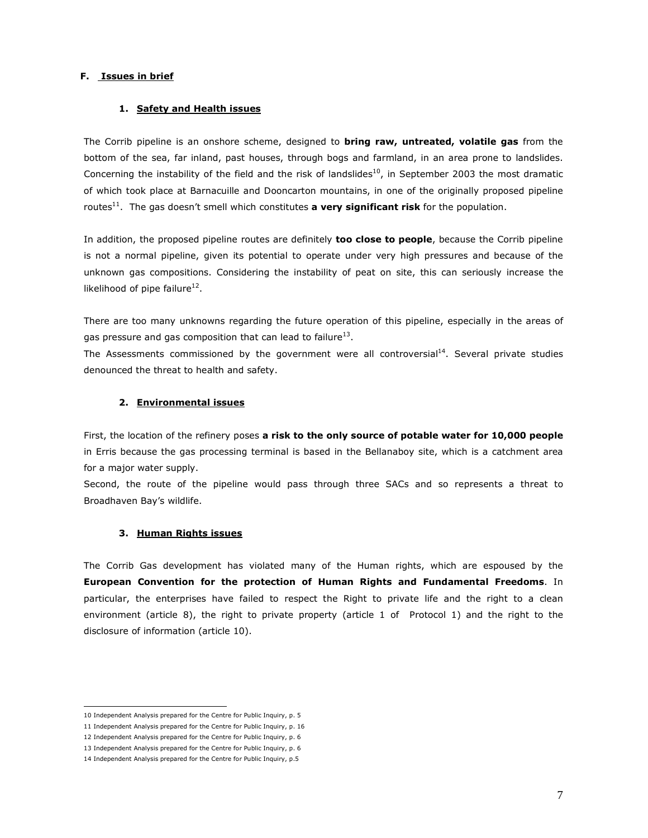## F. Issues in brief

### 1. Safety and Health issues

The Corrib pipeline is an onshore scheme, designed to **bring raw, untreated, volatile gas** from the bottom of the sea, far inland, past houses, through bogs and farmland, in an area prone to landslides. Concerning the instability of the field and the risk of landslides<sup>10</sup>, in September 2003 the most dramatic of which took place at Barnacuille and Dooncarton mountains, in one of the originally proposed pipeline routes $^{11}$ . The gas doesn't smell which constitutes a very significant risk for the population.

In addition, the proposed pipeline routes are definitely too close to people, because the Corrib pipeline is not a normal pipeline, given its potential to operate under very high pressures and because of the unknown gas compositions. Considering the instability of peat on site, this can seriously increase the likelihood of pipe failure<sup>12</sup>.

There are too many unknowns regarding the future operation of this pipeline, especially in the areas of gas pressure and gas composition that can lead to failure $^{13}$ .

The Assessments commissioned by the government were all controversial<sup>14</sup>. Several private studies denounced the threat to health and safety.

#### 2. Environmental issues

First, the location of the refinery poses a risk to the only source of potable water for 10,000 people in Erris because the gas processing terminal is based in the Bellanaboy site, which is a catchment area for a major water supply.

Second, the route of the pipeline would pass through three SACs and so represents a threat to Broadhaven Bay's wildlife.

#### 3. Human Rights issues

The Corrib Gas development has violated many of the Human rights, which are espoused by the European Convention for the protection of Human Rights and Fundamental Freedoms. In particular, the enterprises have failed to respect the Right to private life and the right to a clean environment (article 8), the right to private property (article 1 of Protocol 1) and the right to the disclosure of information (article 10).

 10 Independent Analysis prepared for the Centre for Public Inquiry, p. 5

<sup>11</sup> Independent Analysis prepared for the Centre for Public Inquiry, p. 16

<sup>12</sup> Independent Analysis prepared for the Centre for Public Inquiry, p. 6

<sup>13</sup> Independent Analysis prepared for the Centre for Public Inquiry, p. 6

<sup>14</sup> Independent Analysis prepared for the Centre for Public Inquiry, p.5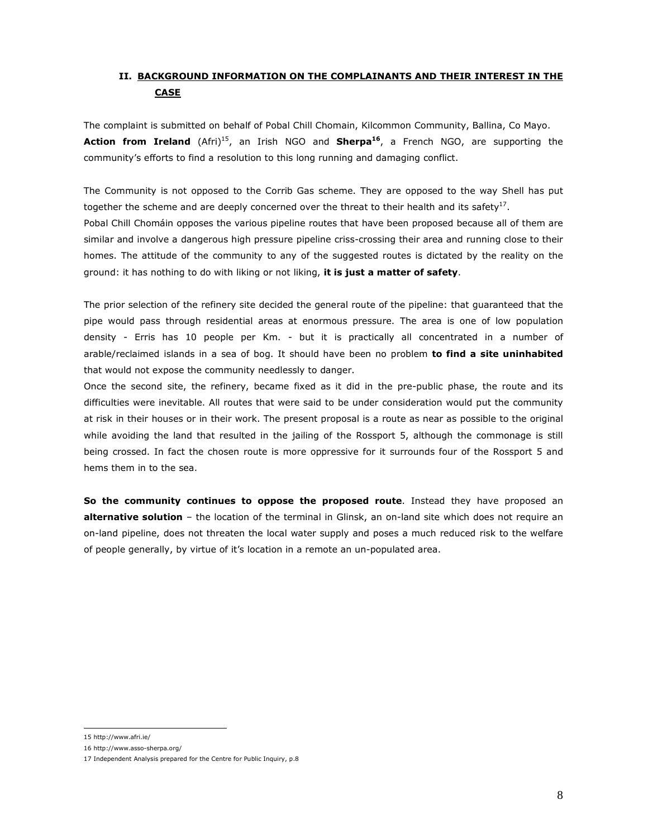# II. BACKGROUND INFORMATION ON THE COMPLAINANTS AND THEIR INTEREST IN THE **CASE**

The complaint is submitted on behalf of Pobal Chill Chomain, Kilcommon Community, Ballina, Co Mayo. **Action from Ireland** (Afri)<sup>15</sup>, an Irish NGO and **Sherpa<sup>16</sup>**, a French NGO, are supporting the community's efforts to find a resolution to this long running and damaging conflict.

The Community is not opposed to the Corrib Gas scheme. They are opposed to the way Shell has put together the scheme and are deeply concerned over the threat to their health and its safety<sup>17</sup>. Pobal Chill Chomáin opposes the various pipeline routes that have been proposed because all of them are similar and involve a dangerous high pressure pipeline criss-crossing their area and running close to their homes. The attitude of the community to any of the suggested routes is dictated by the reality on the ground: it has nothing to do with liking or not liking, it is just a matter of safety.

The prior selection of the refinery site decided the general route of the pipeline: that guaranteed that the pipe would pass through residential areas at enormous pressure. The area is one of low population density - Erris has 10 people per Km. - but it is practically all concentrated in a number of arable/reclaimed islands in a sea of bog. It should have been no problem to find a site uninhabited that would not expose the community needlessly to danger.

Once the second site, the refinery, became fixed as it did in the pre-public phase, the route and its difficulties were inevitable. All routes that were said to be under consideration would put the community at risk in their houses or in their work. The present proposal is a route as near as possible to the original while avoiding the land that resulted in the jailing of the Rossport 5, although the commonage is still being crossed. In fact the chosen route is more oppressive for it surrounds four of the Rossport 5 and hems them in to the sea.

So the community continues to oppose the proposed route. Instead they have proposed an alternative solution - the location of the terminal in Glinsk, an on-land site which does not require an on-land pipeline, does not threaten the local water supply and poses a much reduced risk to the welfare of people generally, by virtue of it's location in a remote an un-populated area.

 15 http://www.afri.ie/

<sup>16</sup> http://www.asso-sherpa.org/

<sup>17</sup> Independent Analysis prepared for the Centre for Public Inquiry, p.8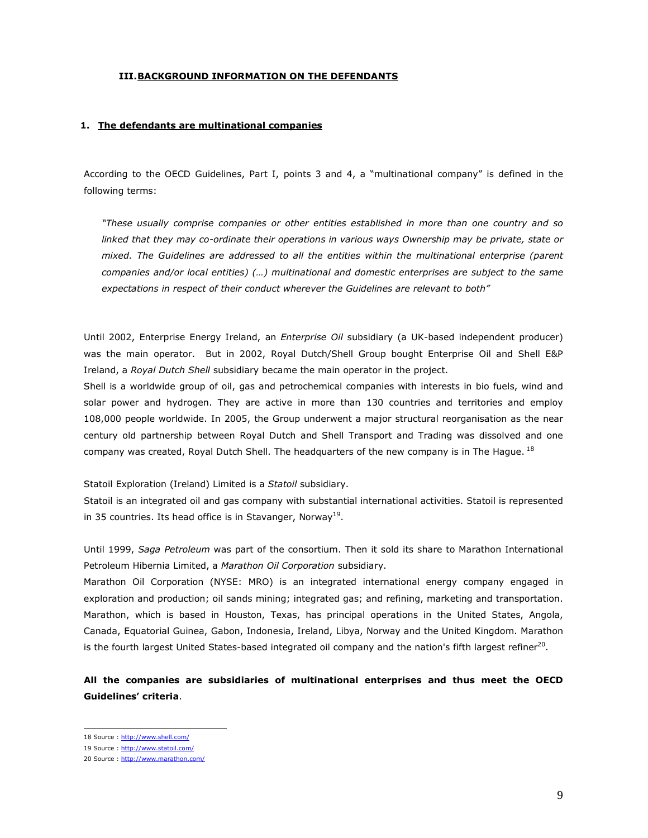### III.BACKGROUND INFORMATION ON THE DEFENDANTS

#### 1. The defendants are multinational companies

According to the OECD Guidelines, Part I, points 3 and 4, a "multinational company" is defined in the following terms:

"These usually comprise companies or other entities established in more than one country and so linked that they may co-ordinate their operations in various ways Ownership may be private, state or mixed. The Guidelines are addressed to all the entities within the multinational enterprise (parent companies and/or local entities) (…) multinational and domestic enterprises are subject to the same expectations in respect of their conduct wherever the Guidelines are relevant to both"

Until 2002, Enterprise Energy Ireland, an *Enterprise Oil* subsidiary (a UK-based independent producer) was the main operator. But in 2002, Royal Dutch/Shell Group bought Enterprise Oil and Shell E&P Ireland, a Royal Dutch Shell subsidiary became the main operator in the project.

Shell is a worldwide group of oil, gas and petrochemical companies with interests in bio fuels, wind and solar power and hydrogen. They are active in more than 130 countries and territories and employ 108,000 people worldwide. In 2005, the Group underwent a major structural reorganisation as the near century old partnership between Royal Dutch and Shell Transport and Trading was dissolved and one company was created, Royal Dutch Shell. The headquarters of the new company is in The Hague.<sup>18</sup>

Statoil Exploration (Ireland) Limited is a Statoil subsidiary.

Statoil is an integrated oil and gas company with substantial international activities. Statoil is represented in 35 countries. Its head office is in Stavanger, Norway<sup>19</sup>.

Until 1999, Saga Petroleum was part of the consortium. Then it sold its share to Marathon International Petroleum Hibernia Limited, a Marathon Oil Corporation subsidiary.

Marathon Oil Corporation (NYSE: MRO) is an integrated international energy company engaged in exploration and production; oil sands mining; integrated gas; and refining, marketing and transportation. Marathon, which is based in Houston, Texas, has principal operations in the United States, Angola, Canada, Equatorial Guinea, Gabon, Indonesia, Ireland, Libya, Norway and the United Kingdom. Marathon is the fourth largest United States-based integrated oil company and the nation's fifth largest refiner<sup>20</sup>.

All the companies are subsidiaries of multinational enterprises and thus meet the OECD Guidelines' criteria.

<sup>18</sup> Source : http://www.shell.com/

<sup>19</sup> Source : http://www.statoil.com/

<sup>20</sup> Source : http://www.marathon.com/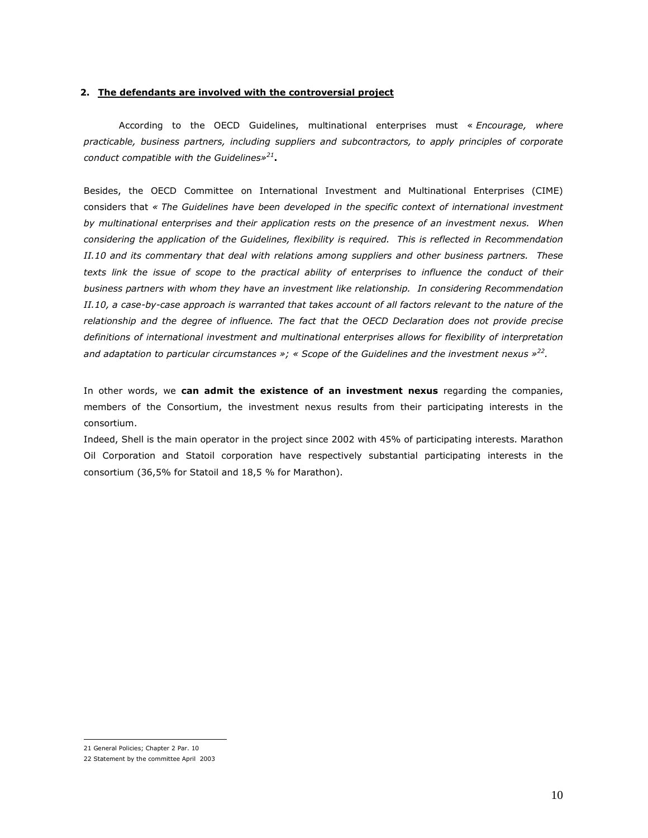#### 2. The defendants are involved with the controversial project

According to the OECD Guidelines, multinational enterprises must « Encourage, where practicable, business partners, including suppliers and subcontractors, to apply principles of corporate conduct compatible with the Guidelines» $^{21}$ .

Besides, the OECD Committee on International Investment and Multinational Enterprises (CIME) considers that « The Guidelines have been developed in the specific context of international investment by multinational enterprises and their application rests on the presence of an investment nexus. When considering the application of the Guidelines, flexibility is required. This is reflected in Recommendation II.10 and its commentary that deal with relations among suppliers and other business partners. These texts link the issue of scope to the practical ability of enterprises to influence the conduct of their business partners with whom they have an investment like relationship. In considering Recommendation II.10, a case-by-case approach is warranted that takes account of all factors relevant to the nature of the relationship and the degree of influence. The fact that the OECD Declaration does not provide precise definitions of international investment and multinational enterprises allows for flexibility of interpretation and adaptation to particular circumstances »; « Scope of the Guidelines and the investment nexus  $x^{22}$ .

In other words, we can admit the existence of an investment nexus regarding the companies, members of the Consortium, the investment nexus results from their participating interests in the consortium.

Indeed, Shell is the main operator in the project since 2002 with 45% of participating interests. Marathon Oil Corporation and Statoil corporation have respectively substantial participating interests in the consortium (36,5% for Statoil and 18,5 % for Marathon).

 $\overline{a}$ 

<sup>21</sup> General Policies; Chapter 2 Par. 10

<sup>22</sup> Statement by the committee April 2003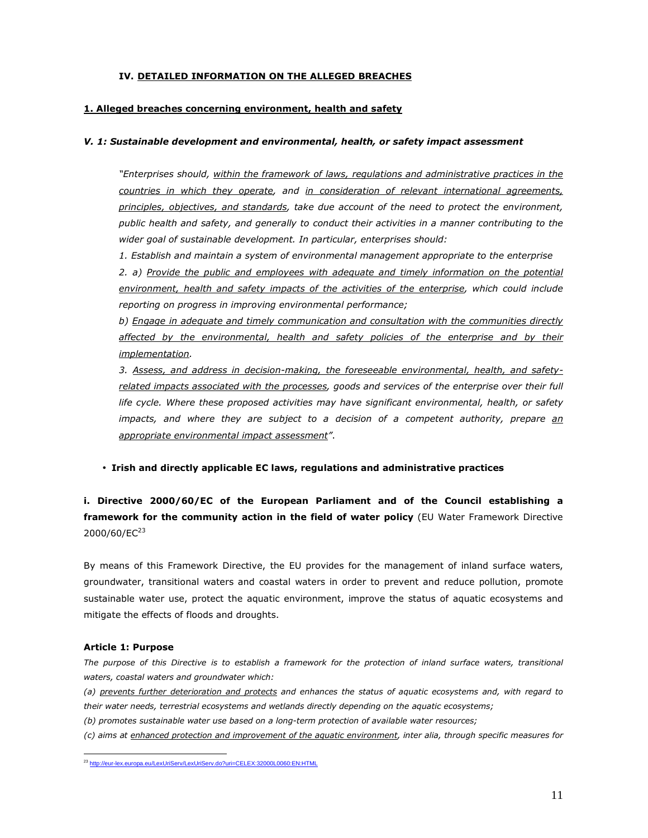## IV. DETAILED INFORMATION ON THE ALLEGED BREACHES

### 1. Alleged breaches concerning environment, health and safety

#### V. 1: Sustainable development and environmental, health, or safety impact assessment

"Enterprises should, within the framework of laws, regulations and administrative practices in the countries in which they operate, and in consideration of relevant international agreements, principles, objectives, and standards, take due account of the need to protect the environment, public health and safety, and generally to conduct their activities in a manner contributing to the wider goal of sustainable development. In particular, enterprises should:

1. Establish and maintain a system of environmental management appropriate to the enterprise

2. a) Provide the public and employees with adequate and timely information on the potential environment, health and safety impacts of the activities of the enterprise, which could include reporting on progress in improving environmental performance;

b) Engage in adequate and timely communication and consultation with the communities directly affected by the environmental, health and safety policies of the enterprise and by their implementation.

 3. Assess, and address in decision-making, the foreseeable environmental, health, and safetyrelated impacts associated with the processes, goods and services of the enterprise over their full life cycle. Where these proposed activities may have significant environmental, health, or safety impacts, and where they are subject to a decision of a competent authority, prepare  $\frac{a_n}{b_n}$ appropriate environmental impact assessment".

### • Irish and directly applicable EC laws, regulations and administrative practices

i. Directive 2000/60/EC of the European Parliament and of the Council establishing a framework for the community action in the field of water policy (EU Water Framework Directive  $2000/60/EC^{23}$ 

By means of this Framework Directive, the EU provides for the management of inland surface waters, groundwater, transitional waters and coastal waters in order to prevent and reduce pollution, promote sustainable water use, protect the aquatic environment, improve the status of aquatic ecosystems and mitigate the effects of floods and droughts.

#### Article 1: Purpose

The purpose of this Directive is to establish a framework for the protection of inland surface waters, transitional waters, coastal waters and groundwater which:

(a) prevents further deterioration and protects and enhances the status of aquatic ecosystems and, with regard to their water needs, terrestrial ecosystems and wetlands directly depending on the aquatic ecosystems;

(b) promotes sustainable water use based on a long-term protection of available water resources;

(c) aims at enhanced protection and improvement of the aquatic environment, inter alia, through specific measures for

<sup>&</sup>lt;sup>23</sup> http://eur-lex.europa.eu/LexUriServ/LexUriServ.do?uri=CELEX:32000L0060:EN:HTML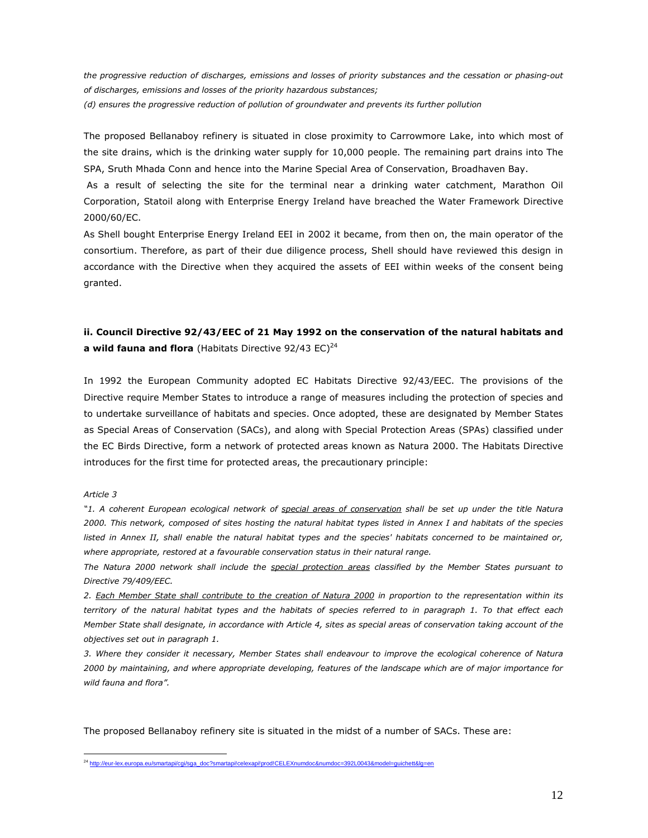the progressive reduction of discharges, emissions and losses of priority substances and the cessation or phasing-out of discharges, emissions and losses of the priority hazardous substances; (d) ensures the progressive reduction of pollution of groundwater and prevents its further pollution

The proposed Bellanaboy refinery is situated in close proximity to Carrowmore Lake, into which most of the site drains, which is the drinking water supply for 10,000 people. The remaining part drains into The SPA, Sruth Mhada Conn and hence into the Marine Special Area of Conservation, Broadhaven Bay.

 As a result of selecting the site for the terminal near a drinking water catchment, Marathon Oil Corporation, Statoil along with Enterprise Energy Ireland have breached the Water Framework Directive 2000/60/EC.

As Shell bought Enterprise Energy Ireland EEI in 2002 it became, from then on, the main operator of the consortium. Therefore, as part of their due diligence process, Shell should have reviewed this design in accordance with the Directive when they acquired the assets of EEI within weeks of the consent being granted.

# ii. Council Directive 92/43/EEC of 21 May 1992 on the conservation of the natural habitats and a wild fauna and flora (Habitats Directive 92/43  $EC)^{24}$

In 1992 the European Community adopted EC Habitats Directive 92/43/EEC. The provisions of the Directive require Member States to introduce a range of measures including the protection of species and to undertake surveillance of habitats and species. Once adopted, these are designated by Member States as Special Areas of Conservation (SACs), and along with Special Protection Areas (SPAs) classified under the EC Birds Directive, form a network of protected areas known as Natura 2000. The Habitats Directive introduces for the first time for protected areas, the precautionary principle:

#### Article 3

"1. A coherent European ecological network of special areas of conservation shall be set up under the title Natura 2000. This network, composed of sites hosting the natural habitat types listed in Annex I and habitats of the species listed in Annex II, shall enable the natural habitat types and the species' habitats concerned to be maintained or, where appropriate, restored at a favourable conservation status in their natural range.

The Natura 2000 network shall include the special protection areas classified by the Member States pursuant to Directive 79/409/EEC.

2. Each Member State shall contribute to the creation of Natura 2000 in proportion to the representation within its territory of the natural habitat types and the habitats of species referred to in paragraph 1. To that effect each Member State shall designate, in accordance with Article 4, sites as special areas of conservation taking account of the objectives set out in paragraph 1.

3. Where they consider it necessary, Member States shall endeavour to improve the ecological coherence of Natura 2000 by maintaining, and where appropriate developing, features of the landscape which are of major importance for wild fauna and flora".

The proposed Bellanaboy refinery site is situated in the midst of a number of SACs. These are:

 $\overline{a}$ <sup>24</sup> http://eur-lex.europa.eu/smartapi/cgi/sga\_doc?smartapi!celexapi!prod!CELEXnumdoc&numdoc=392L0043&model=guichett&lg=en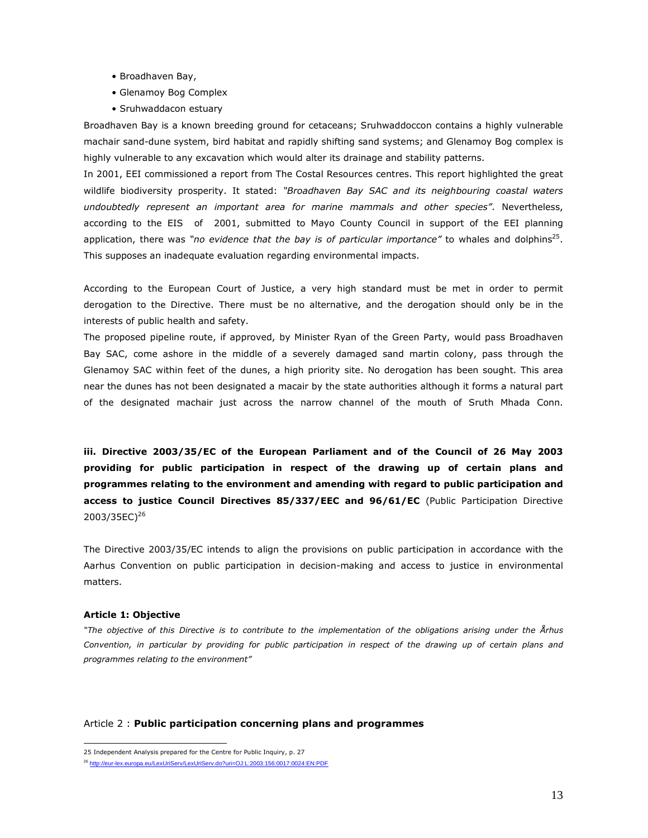- Broadhaven Bay,
- Glenamoy Bog Complex
- Sruhwaddacon estuary

Broadhaven Bay is a known breeding ground for cetaceans; Sruhwaddoccon contains a highly vulnerable machair sand-dune system, bird habitat and rapidly shifting sand systems; and Glenamoy Bog complex is highly vulnerable to any excavation which would alter its drainage and stability patterns.

In 2001, EEI commissioned a report from The Costal Resources centres. This report highlighted the great wildlife biodiversity prosperity. It stated: "Broadhaven Bay SAC and its neighbouring coastal waters undoubtedly represent an important area for marine mammals and other species". Nevertheless, according to the EIS of 2001, submitted to Mayo County Council in support of the EEI planning application, there was "no evidence that the bay is of particular importance" to whales and dolphins<sup>25</sup>. This supposes an inadequate evaluation regarding environmental impacts.

According to the European Court of Justice, a very high standard must be met in order to permit derogation to the Directive. There must be no alternative, and the derogation should only be in the interests of public health and safety.

The proposed pipeline route, if approved, by Minister Ryan of the Green Party, would pass Broadhaven Bay SAC, come ashore in the middle of a severely damaged sand martin colony, pass through the Glenamoy SAC within feet of the dunes, a high priority site. No derogation has been sought. This area near the dunes has not been designated a macair by the state authorities although it forms a natural part of the designated machair just across the narrow channel of the mouth of Sruth Mhada Conn.

iii. Directive 2003/35/EC of the European Parliament and of the Council of 26 May 2003 providing for public participation in respect of the drawing up of certain plans and programmes relating to the environment and amending with regard to public participation and access to justice Council Directives 85/337/EEC and 96/61/EC (Public Participation Directive 2003/35EC)<sup>26</sup>

The Directive 2003/35/EC intends to align the provisions on public participation in accordance with the Aarhus Convention on public participation in decision-making and access to justice in environmental matters.

#### Article 1: Objective

 $\overline{a}$ 

"The objective of this Directive is to contribute to the implementation of the obligations arising under the Århus Convention, in particular by providing for public participation in respect of the drawing up of certain plans and programmes relating to the environment"

### Article 2 : Public participation concerning plans and programmes

<sup>25</sup> Independent Analysis prepared for the Centre for Public Inquiry, p. 27

<sup>26</sup> http://eur-lex.europa.eu/LexUriServ/LexUriServ.do?uri=OJ:L:2003:156:0017:0024:EN:PDF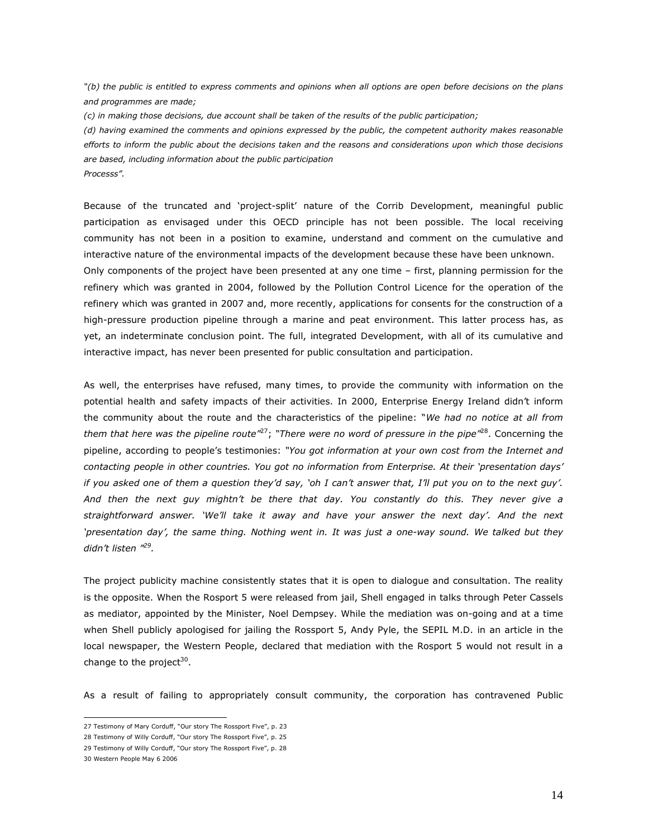"(b) the public is entitled to express comments and opinions when all options are open before decisions on the plans and programmes are made;

(c) in making those decisions, due account shall be taken of the results of the public participation;

(d) having examined the comments and opinions expressed by the public, the competent authority makes reasonable efforts to inform the public about the decisions taken and the reasons and considerations upon which those decisions are based, including information about the public participation Processs".

Because of the truncated and 'project-split' nature of the Corrib Development, meaningful public participation as envisaged under this OECD principle has not been possible. The local receiving community has not been in a position to examine, understand and comment on the cumulative and interactive nature of the environmental impacts of the development because these have been unknown. Only components of the project have been presented at any one time – first, planning permission for the refinery which was granted in 2004, followed by the Pollution Control Licence for the operation of the refinery which was granted in 2007 and, more recently, applications for consents for the construction of a high-pressure production pipeline through a marine and peat environment. This latter process has, as yet, an indeterminate conclusion point. The full, integrated Development, with all of its cumulative and interactive impact, has never been presented for public consultation and participation.

As well, the enterprises have refused, many times, to provide the community with information on the potential health and safety impacts of their activities. In 2000, Enterprise Energy Ireland didn't inform the community about the route and the characteristics of the pipeline: "We had no notice at all from them that here was the pipeline route<sup>"27</sup>; "There were no word of pressure in the pipe"<sup>28</sup>. Concerning the pipeline, according to people's testimonies: "You got information at your own cost from the Internet and contacting people in other countries. You got no information from Enterprise. At their 'presentation days' if you asked one of them a question they'd say, 'oh I can't answer that, I'll put you on to the next guy'. And then the next guy mightn't be there that day. You constantly do this. They never give a straightforward answer. 'We'll take it away and have your answer the next day'. And the next 'presentation day', the same thing. Nothing went in. It was just a one-way sound. We talked but they didn't listen "<sup>29</sup>.

The project publicity machine consistently states that it is open to dialogue and consultation. The reality is the opposite. When the Rosport 5 were released from jail, Shell engaged in talks through Peter Cassels as mediator, appointed by the Minister, Noel Dempsey. While the mediation was on-going and at a time when Shell publicly apologised for jailing the Rossport 5, Andy Pyle, the SEPIL M.D. in an article in the local newspaper, the Western People, declared that mediation with the Rosport 5 would not result in a change to the project<sup>30</sup>.

As a result of failing to appropriately consult community, the corporation has contravened Public

 27 Testimony of Mary Corduff, "Our story The Rossport Five", p. 23

<sup>28</sup> Testimony of Willy Corduff, "Our story The Rossport Five", p. 25

<sup>29</sup> Testimony of Willy Corduff, "Our story The Rossport Five", p. 28

<sup>30</sup> Western People May 6 2006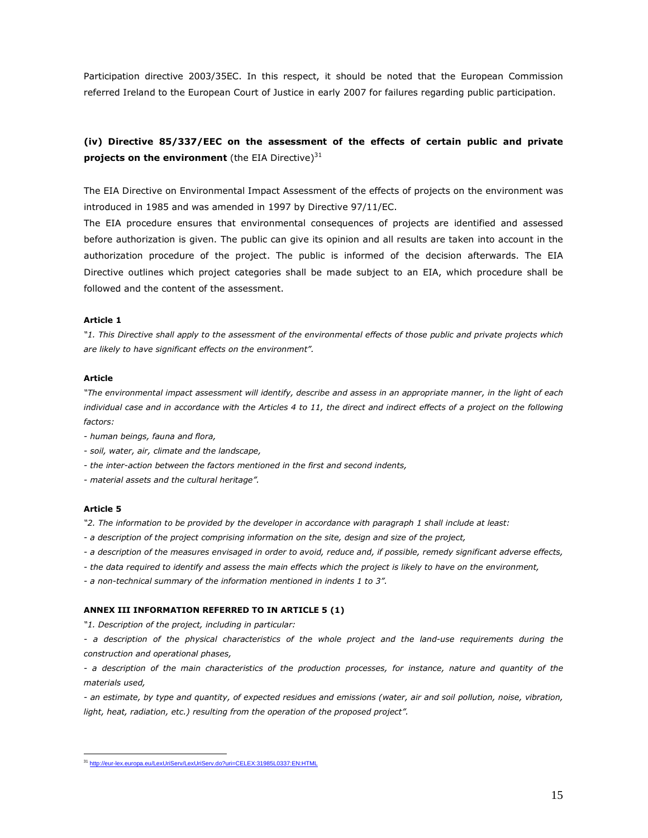Participation directive 2003/35EC. In this respect, it should be noted that the European Commission referred Ireland to the European Court of Justice in early 2007 for failures regarding public participation.

# (iv) Directive 85/337/EEC on the assessment of the effects of certain public and private projects on the environment (the EIA Directive) $31$

The EIA Directive on Environmental Impact Assessment of the effects of projects on the environment was introduced in 1985 and was amended in 1997 by Directive 97/11/EC.

The EIA procedure ensures that environmental consequences of projects are identified and assessed before authorization is given. The public can give its opinion and all results are taken into account in the authorization procedure of the project. The public is informed of the decision afterwards. The EIA Directive outlines which project categories shall be made subject to an EIA, which procedure shall be followed and the content of the assessment.

#### Article 1

"1. This Directive shall apply to the assessment of the environmental effects of those public and private projects which are likely to have significant effects on the environment".

#### Article

"The environmental impact assessment will identify, describe and assess in an appropriate manner, in the light of each individual case and in accordance with the Articles 4 to 11, the direct and indirect effects of a project on the following factors:

- human beings, fauna and flora,
- soil, water, air, climate and the landscape,
- the inter-action between the factors mentioned in the first and second indents,
- material assets and the cultural heritage".

#### Article 5

"2. The information to be provided by the developer in accordance with paragraph 1 shall include at least:

- a description of the project comprising information on the site, design and size of the project,
- a description of the measures envisaged in order to avoid, reduce and, if possible, remedy significant adverse effects,
- the data required to identify and assess the main effects which the project is likely to have on the environment,
- a non-technical summary of the information mentioned in indents 1 to 3".

## ANNEX III INFORMATION REFERRED TO IN ARTICLE 5 (1)

"1. Description of the project, including in particular:

- a description of the physical characteristics of the whole project and the land-use requirements during the construction and operational phases,

- a description of the main characteristics of the production processes, for instance, nature and quantity of the materials used,

- an estimate, by type and quantity, of expected residues and emissions (water, air and soil pollution, noise, vibration, light, heat, radiation, etc.) resulting from the operation of the proposed project".

<sup>&</sup>lt;sup>31</sup> http://eur-lex.europa.eu/LexUriServ/LexUriServ.do?uri=CELEX:31985L0337:EN:HTML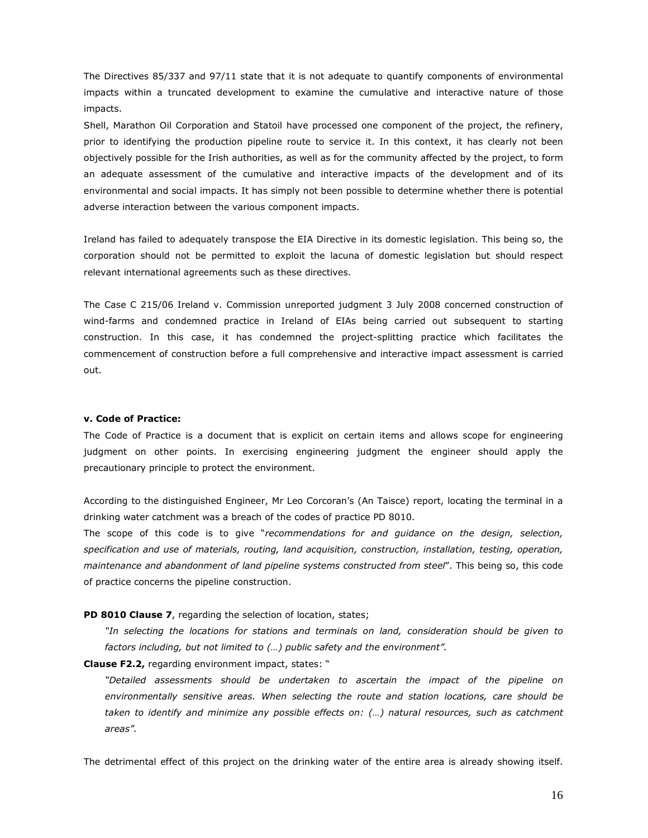The Directives 85/337 and 97/11 state that it is not adequate to quantify components of environmental impacts within a truncated development to examine the cumulative and interactive nature of those impacts.

Shell, Marathon Oil Corporation and Statoil have processed one component of the project, the refinery, prior to identifying the production pipeline route to service it. In this context, it has clearly not been objectively possible for the Irish authorities, as well as for the community affected by the project, to form an adequate assessment of the cumulative and interactive impacts of the development and of its environmental and social impacts. It has simply not been possible to determine whether there is potential adverse interaction between the various component impacts.

Ireland has failed to adequately transpose the EIA Directive in its domestic legislation. This being so, the corporation should not be permitted to exploit the lacuna of domestic legislation but should respect relevant international agreements such as these directives.

The Case C 215/06 Ireland v. Commission unreported judgment 3 July 2008 concerned construction of wind-farms and condemned practice in Ireland of EIAs being carried out subsequent to starting construction. In this case, it has condemned the project-splitting practice which facilitates the commencement of construction before a full comprehensive and interactive impact assessment is carried out.

### v. Code of Practice:

The Code of Practice is a document that is explicit on certain items and allows scope for engineering judgment on other points. In exercising engineering judgment the engineer should apply the precautionary principle to protect the environment.

According to the distinguished Engineer, Mr Leo Corcoran's (An Taisce) report, locating the terminal in a drinking water catchment was a breach of the codes of practice PD 8010.

The scope of this code is to give "recommendations for and quidance on the design, selection, specification and use of materials, routing, land acquisition, construction, installation, testing, operation, maintenance and abandonment of land pipeline systems constructed from steel". This being so, this code of practice concerns the pipeline construction.

PD 8010 Clause 7, regarding the selection of location, states;

"In selecting the locations for stations and terminals on land, consideration should be given to factors including, but not limited to (…) public safety and the environment".

Clause F2.2, regarding environment impact, states: "

"Detailed assessments should be undertaken to ascertain the impact of the pipeline on environmentally sensitive areas. When selecting the route and station locations, care should be taken to identify and minimize any possible effects on: (…) natural resources, such as catchment areas".

The detrimental effect of this project on the drinking water of the entire area is already showing itself.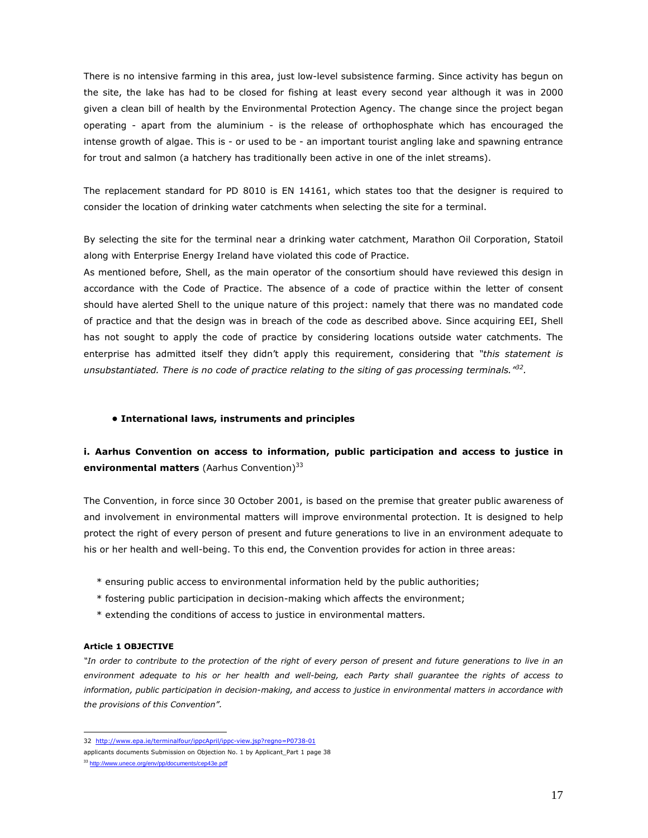There is no intensive farming in this area, just low-level subsistence farming. Since activity has begun on the site, the lake has had to be closed for fishing at least every second year although it was in 2000 given a clean bill of health by the Environmental Protection Agency. The change since the project began operating - apart from the aluminium - is the release of orthophosphate which has encouraged the intense growth of algae. This is - or used to be - an important tourist angling lake and spawning entrance for trout and salmon (a hatchery has traditionally been active in one of the inlet streams).

The replacement standard for PD 8010 is EN 14161, which states too that the designer is required to consider the location of drinking water catchments when selecting the site for a terminal.

By selecting the site for the terminal near a drinking water catchment, Marathon Oil Corporation, Statoil along with Enterprise Energy Ireland have violated this code of Practice.

As mentioned before, Shell, as the main operator of the consortium should have reviewed this design in accordance with the Code of Practice. The absence of a code of practice within the letter of consent should have alerted Shell to the unique nature of this project: namely that there was no mandated code of practice and that the design was in breach of the code as described above. Since acquiring EEI, Shell has not sought to apply the code of practice by considering locations outside water catchments. The enterprise has admitted itself they didn't apply this requirement, considering that "this statement is unsubstantiated. There is no code of practice relating to the siting of gas processing terminals.<sup>132</sup>.

## • International laws, instruments and principles

# i. Aarhus Convention on access to information, public participation and access to justice in environmental matters (Aarhus Convention)<sup>33</sup>

The Convention, in force since 30 October 2001, is based on the premise that greater public awareness of and involvement in environmental matters will improve environmental protection. It is designed to help protect the right of every person of present and future generations to live in an environment adequate to his or her health and well-being. To this end, the Convention provides for action in three areas:

- \* ensuring public access to environmental information held by the public authorities;
- \* fostering public participation in decision-making which affects the environment;
- \* extending the conditions of access to justice in environmental matters.

#### Article 1 OBJECTIVE

"In order to contribute to the protection of the right of every person of present and future generations to live in an environment adequate to his or her health and well-being, each Party shall guarantee the rights of access to information, public participation in decision-making, and access to justice in environmental matters in accordance with the provisions of this Convention".

 32 http://www.epa.ie/terminalfour/ippcApril/ippc-view.jsp?regno=P0738-01

applicants documents Submission on Objection No. 1 by Applicant\_Part 1 page 38

<sup>33</sup> http://www.unece.org/env/pp/documents/cep43e.pdf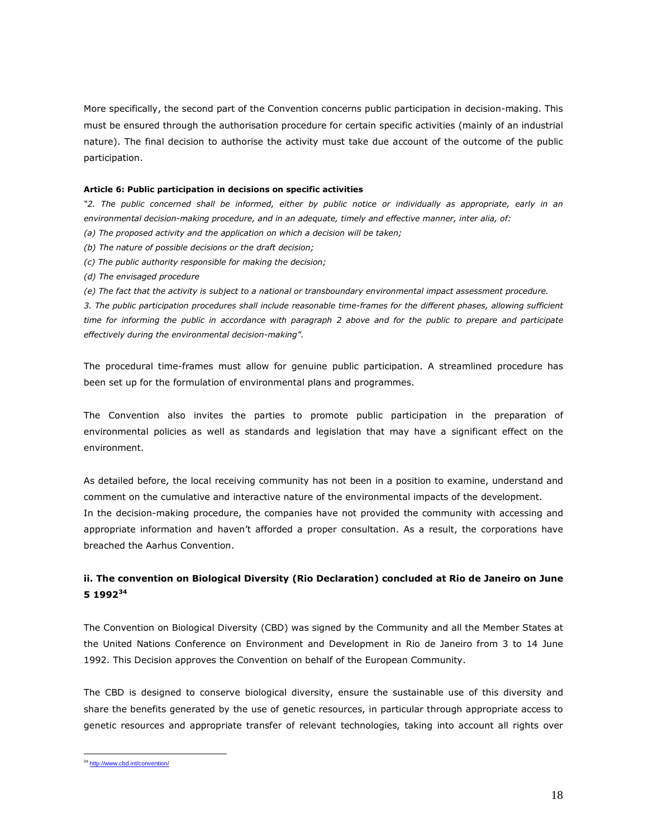More specifically, the second part of the Convention concerns public participation in decision-making. This must be ensured through the authorisation procedure for certain specific activities (mainly of an industrial nature). The final decision to authorise the activity must take due account of the outcome of the public participation.

#### Article 6: Public participation in decisions on specific activities

"2. The public concerned shall be informed, either by public notice or individually as appropriate, early in an environmental decision-making procedure, and in an adequate, timely and effective manner, inter alia, of:

- (a) The proposed activity and the application on which a decision will be taken;
- (b) The nature of possible decisions or the draft decision;
- (c) The public authority responsible for making the decision;
- (d) The envisaged procedure
- (e) The fact that the activity is subject to a national or transboundary environmental impact assessment procedure.

3. The public participation procedures shall include reasonable time-frames for the different phases, allowing sufficient time for informing the public in accordance with paragraph 2 above and for the public to prepare and participate effectively during the environmental decision-making".

The procedural time-frames must allow for genuine public participation. A streamlined procedure has been set up for the formulation of environmental plans and programmes.

The Convention also invites the parties to promote public participation in the preparation of environmental policies as well as standards and legislation that may have a significant effect on the environment.

As detailed before, the local receiving community has not been in a position to examine, understand and comment on the cumulative and interactive nature of the environmental impacts of the development. In the decision-making procedure, the companies have not provided the community with accessing and appropriate information and haven't afforded a proper consultation. As a result, the corporations have breached the Aarhus Convention.

# ii. The convention on Biological Diversity (Rio Declaration) concluded at Rio de Janeiro on June 5 1992<sup>34</sup>

The Convention on Biological Diversity (CBD) was signed by the Community and all the Member States at the United Nations Conference on Environment and Development in Rio de Janeiro from 3 to 14 June 1992. This Decision approves the Convention on behalf of the European Community.

The CBD is designed to conserve biological diversity, ensure the sustainable use of this diversity and share the benefits generated by the use of genetic resources, in particular through appropriate access to genetic resources and appropriate transfer of relevant technologies, taking into account all rights over

 $\overline{a}$ <sup>34</sup> http://www.cbd.int/convention/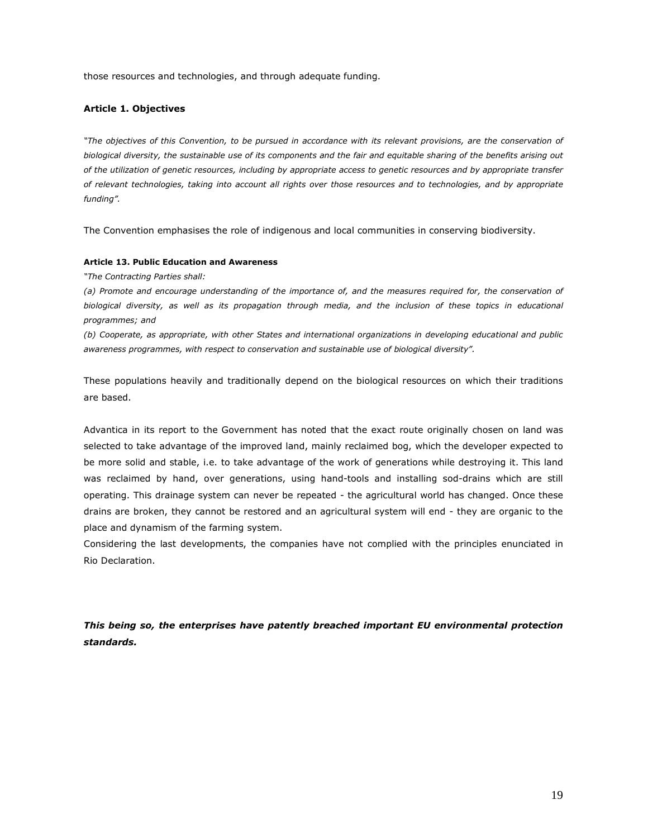those resources and technologies, and through adequate funding.

#### Article 1. Objectives

"The objectives of this Convention, to be pursued in accordance with its relevant provisions, are the conservation of biological diversity, the sustainable use of its components and the fair and equitable sharing of the benefits arising out of the utilization of genetic resources, including by appropriate access to genetic resources and by appropriate transfer of relevant technologies, taking into account all rights over those resources and to technologies, and by appropriate funding".

The Convention emphasises the role of indigenous and local communities in conserving biodiversity.

#### Article 13. Public Education and Awareness

"The Contracting Parties shall:

(a) Promote and encourage understanding of the importance of, and the measures required for, the conservation of biological diversity, as well as its propagation through media, and the inclusion of these topics in educational programmes; and

(b) Cooperate, as appropriate, with other States and international organizations in developing educational and public awareness programmes, with respect to conservation and sustainable use of biological diversity".

These populations heavily and traditionally depend on the biological resources on which their traditions are based.

Advantica in its report to the Government has noted that the exact route originally chosen on land was selected to take advantage of the improved land, mainly reclaimed bog, which the developer expected to be more solid and stable, i.e. to take advantage of the work of generations while destroying it. This land was reclaimed by hand, over generations, using hand-tools and installing sod-drains which are still operating. This drainage system can never be repeated - the agricultural world has changed. Once these drains are broken, they cannot be restored and an agricultural system will end - they are organic to the place and dynamism of the farming system.

Considering the last developments, the companies have not complied with the principles enunciated in Rio Declaration.

This being so, the enterprises have patently breached important EU environmental protection standards.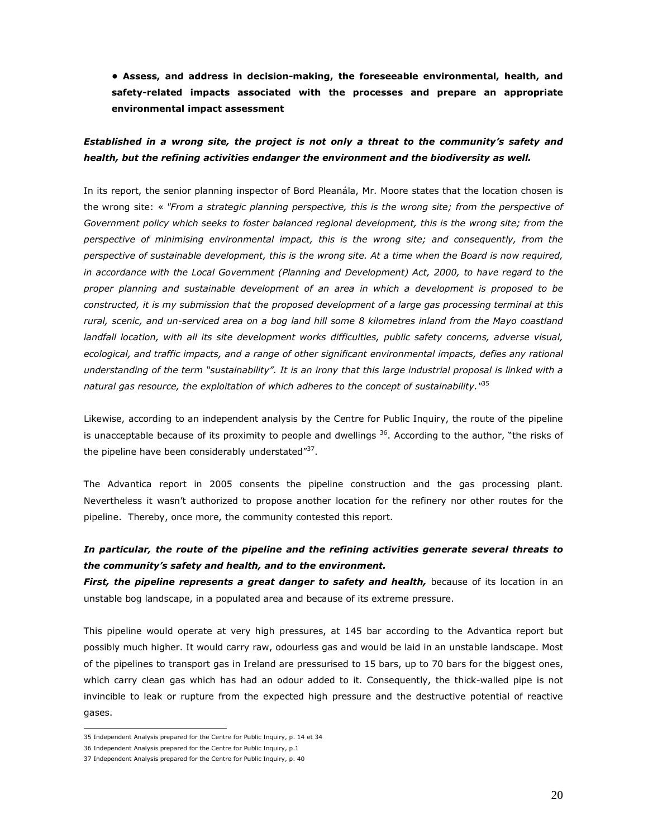• Assess, and address in decision-making, the foreseeable environmental, health, and safety-related impacts associated with the processes and prepare an appropriate environmental impact assessment

## Established in a wrong site, the project is not only a threat to the community's safety and health, but the refining activities endanger the environment and the biodiversity as well.

In its report, the senior planning inspector of Bord Pleanála, Mr. Moore states that the location chosen is the wrong site: « "From a strategic planning perspective, this is the wrong site; from the perspective of Government policy which seeks to foster balanced regional development, this is the wrong site; from the perspective of minimising environmental impact, this is the wrong site; and consequently, from the perspective of sustainable development, this is the wrong site. At a time when the Board is now required, in accordance with the Local Government (Planning and Development) Act, 2000, to have regard to the proper planning and sustainable development of an area in which a development is proposed to be constructed, it is my submission that the proposed development of a large gas processing terminal at this rural, scenic, and un-serviced area on a bog land hill some 8 kilometres inland from the Mayo coastland landfall location, with all its site development works difficulties, public safety concerns, adverse visual, ecological, and traffic impacts, and a range of other significant environmental impacts, defies any rational understanding of the term "sustainability". It is an irony that this large industrial proposal is linked with a natural gas resource, the exploitation of which adheres to the concept of sustainability."<sup>35</sup>

Likewise, according to an independent analysis by the Centre for Public Inquiry, the route of the pipeline is unacceptable because of its proximity to people and dwellings <sup>36</sup>. According to the author, "the risks of the pipeline have been considerably understated"<sup>37</sup>.

The Advantica report in 2005 consents the pipeline construction and the gas processing plant. Nevertheless it wasn't authorized to propose another location for the refinery nor other routes for the pipeline. Thereby, once more, the community contested this report.

# In particular, the route of the pipeline and the refining activities generate several threats to the community's safety and health, and to the environment.

First, the pipeline represents a great danger to safety and health, because of its location in an unstable bog landscape, in a populated area and because of its extreme pressure.

This pipeline would operate at very high pressures, at 145 bar according to the Advantica report but possibly much higher. It would carry raw, odourless gas and would be laid in an unstable landscape. Most of the pipelines to transport gas in Ireland are pressurised to 15 bars, up to 70 bars for the biggest ones, which carry clean gas which has had an odour added to it. Consequently, the thick-walled pipe is not invincible to leak or rupture from the expected high pressure and the destructive potential of reactive gases.

 35 Independent Analysis prepared for the Centre for Public Inquiry, p. 14 et 34

<sup>36</sup> Independent Analysis prepared for the Centre for Public Inquiry, p.1

<sup>37</sup> Independent Analysis prepared for the Centre for Public Inquiry, p. 40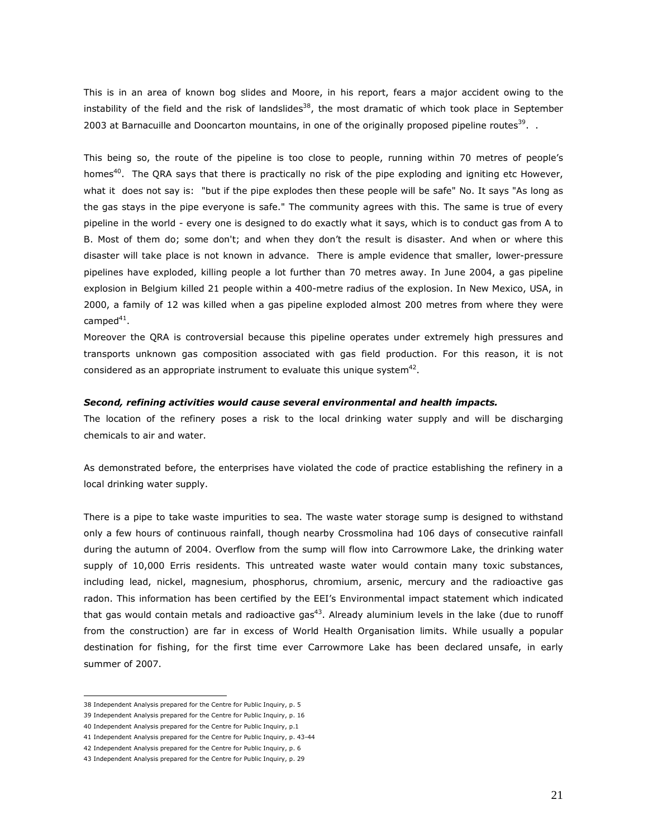This is in an area of known bog slides and Moore, in his report, fears a major accident owing to the instability of the field and the risk of landslides<sup>38</sup>, the most dramatic of which took place in September 2003 at Barnacuille and Dooncarton mountains, in one of the originally proposed pipeline routes<sup>39</sup>.  $\,$ .

This being so, the route of the pipeline is too close to people, running within 70 metres of people's homes<sup>40</sup>. The QRA says that there is practically no risk of the pipe exploding and igniting etc However, what it does not say is: "but if the pipe explodes then these people will be safe" No. It says "As long as the gas stays in the pipe everyone is safe." The community agrees with this. The same is true of every pipeline in the world - every one is designed to do exactly what it says, which is to conduct gas from A to B. Most of them do; some don't; and when they don't the result is disaster. And when or where this disaster will take place is not known in advance. There is ample evidence that smaller, lower-pressure pipelines have exploded, killing people a lot further than 70 metres away. In June 2004, a gas pipeline explosion in Belgium killed 21 people within a 400-metre radius of the explosion. In New Mexico, USA, in 2000, a family of 12 was killed when a gas pipeline exploded almost 200 metres from where they were camped $^{41}$ .

Moreover the QRA is controversial because this pipeline operates under extremely high pressures and transports unknown gas composition associated with gas field production. For this reason, it is not considered as an appropriate instrument to evaluate this unique system $42$ .

#### Second, refining activities would cause several environmental and health impacts.

The location of the refinery poses a risk to the local drinking water supply and will be discharging chemicals to air and water.

As demonstrated before, the enterprises have violated the code of practice establishing the refinery in a local drinking water supply.

There is a pipe to take waste impurities to sea. The waste water storage sump is designed to withstand only a few hours of continuous rainfall, though nearby Crossmolina had 106 days of consecutive rainfall during the autumn of 2004. Overflow from the sump will flow into Carrowmore Lake, the drinking water supply of 10,000 Erris residents. This untreated waste water would contain many toxic substances, including lead, nickel, magnesium, phosphorus, chromium, arsenic, mercury and the radioactive gas radon. This information has been certified by the EEI's Environmental impact statement which indicated that gas would contain metals and radioactive gas<sup>43</sup>. Already aluminium levels in the lake (due to runoff from the construction) are far in excess of World Health Organisation limits. While usually a popular destination for fishing, for the first time ever Carrowmore Lake has been declared unsafe, in early summer of 2007.

 $\overline{a}$ 38 Independent Analysis prepared for the Centre for Public Inquiry, p. 5

<sup>39</sup> Independent Analysis prepared for the Centre for Public Inquiry, p. 16

<sup>40</sup> Independent Analysis prepared for the Centre for Public Inquiry, p.1

<sup>41</sup> Independent Analysis prepared for the Centre for Public Inquiry, p. 43-44

<sup>42</sup> Independent Analysis prepared for the Centre for Public Inquiry, p. 6

<sup>43</sup> Independent Analysis prepared for the Centre for Public Inquiry, p. 29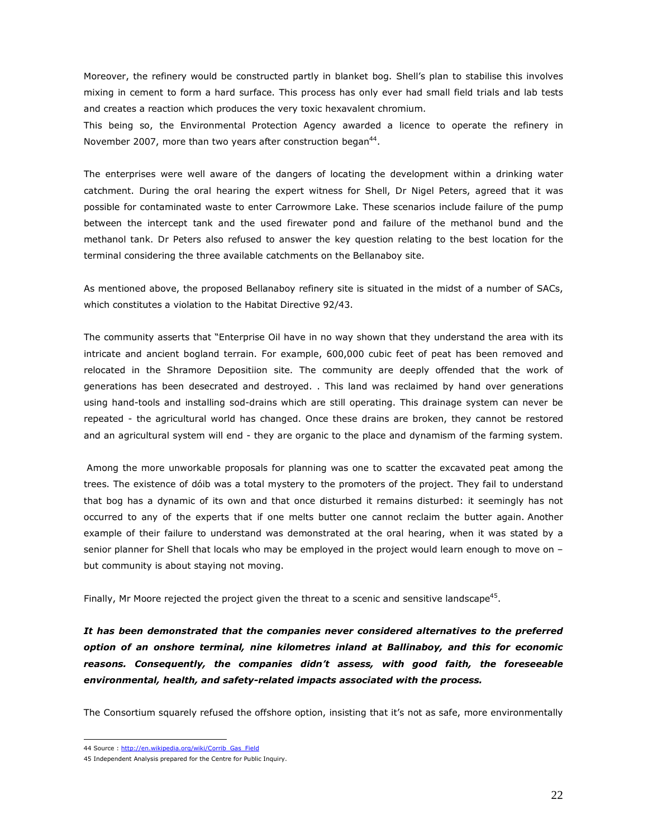Moreover, the refinery would be constructed partly in blanket bog. Shell's plan to stabilise this involves mixing in cement to form a hard surface. This process has only ever had small field trials and lab tests and creates a reaction which produces the very toxic hexavalent chromium.

This being so, the Environmental Protection Agency awarded a licence to operate the refinery in November 2007, more than two years after construction began<sup>44</sup>.

The enterprises were well aware of the dangers of locating the development within a drinking water catchment. During the oral hearing the expert witness for Shell, Dr Nigel Peters, agreed that it was possible for contaminated waste to enter Carrowmore Lake. These scenarios include failure of the pump between the intercept tank and the used firewater pond and failure of the methanol bund and the methanol tank. Dr Peters also refused to answer the key question relating to the best location for the terminal considering the three available catchments on the Bellanaboy site.

As mentioned above, the proposed Bellanaboy refinery site is situated in the midst of a number of SACs, which constitutes a violation to the Habitat Directive 92/43.

The community asserts that "Enterprise Oil have in no way shown that they understand the area with its intricate and ancient bogland terrain. For example, 600,000 cubic feet of peat has been removed and relocated in the Shramore Depositiion site. The community are deeply offended that the work of generations has been desecrated and destroyed. . This land was reclaimed by hand over generations using hand-tools and installing sod-drains which are still operating. This drainage system can never be repeated - the agricultural world has changed. Once these drains are broken, they cannot be restored and an agricultural system will end - they are organic to the place and dynamism of the farming system.

 Among the more unworkable proposals for planning was one to scatter the excavated peat among the trees. The existence of dóib was a total mystery to the promoters of the project. They fail to understand that bog has a dynamic of its own and that once disturbed it remains disturbed: it seemingly has not occurred to any of the experts that if one melts butter one cannot reclaim the butter again. Another example of their failure to understand was demonstrated at the oral hearing, when it was stated by a senior planner for Shell that locals who may be employed in the project would learn enough to move on – but community is about staying not moving.

Finally, Mr Moore rejected the project given the threat to a scenic and sensitive landscape<sup>45</sup>.

It has been demonstrated that the companies never considered alternatives to the preferred option of an onshore terminal, nine kilometres inland at Ballinaboy, and this for economic reasons. Consequently, the companies didn't assess, with good faith, the foreseeable environmental, health, and safety-related impacts associated with the process.

The Consortium squarely refused the offshore option, insisting that it's not as safe, more environmentally

<sup>&</sup>lt;sup>4</sup>4 Source : http://en.wikipedia.org/wiki/Corrib\_Gas\_Field

<sup>45</sup> Independent Analysis prepared for the Centre for Public Inquiry.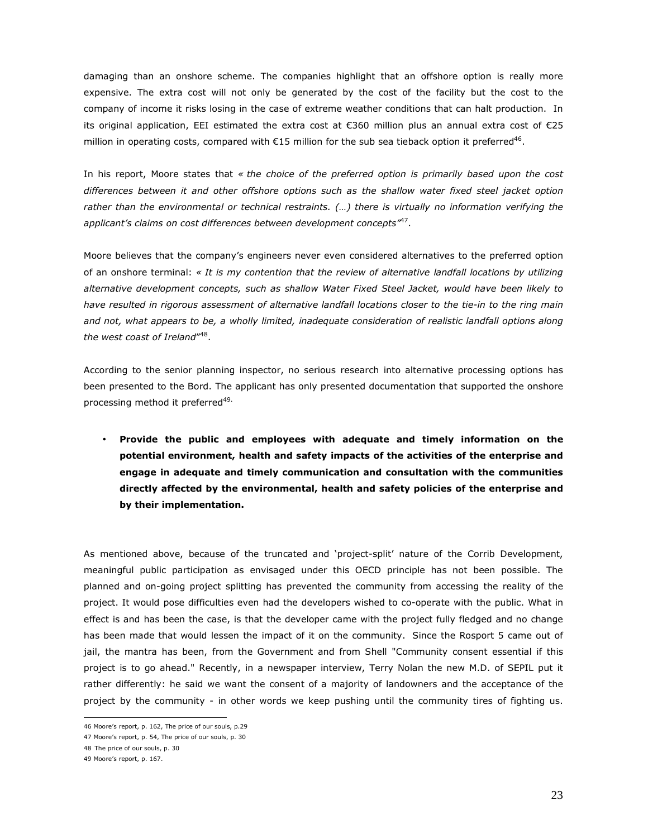damaging than an onshore scheme. The companies highlight that an offshore option is really more expensive. The extra cost will not only be generated by the cost of the facility but the cost to the company of income it risks losing in the case of extreme weather conditions that can halt production. In its original application, EEI estimated the extra cost at €360 million plus an annual extra cost of €25 million in operating costs, compared with  $E15$  million for the sub sea tieback option it preferred<sup>46</sup>.

In his report, Moore states that « the choice of the preferred option is primarily based upon the cost differences between it and other offshore options such as the shallow water fixed steel jacket option rather than the environmental or technical restraints. (…) there is virtually no information verifying the applicant's claims on cost differences between development concepts"<sup>47</sup>.

Moore believes that the company's engineers never even considered alternatives to the preferred option of an onshore terminal: « It is my contention that the review of alternative landfall locations by utilizing alternative development concepts, such as shallow Water Fixed Steel Jacket, would have been likely to have resulted in rigorous assessment of alternative landfall locations closer to the tie-in to the ring main and not, what appears to be, a wholly limited, inadequate consideration of realistic landfall options along the west coast of Ireland"<sup>48</sup>.

According to the senior planning inspector, no serious research into alternative processing options has been presented to the Bord. The applicant has only presented documentation that supported the onshore processing method it preferred<sup>49.</sup>

• Provide the public and employees with adequate and timely information on the potential environment, health and safety impacts of the activities of the enterprise and engage in adequate and timely communication and consultation with the communities directly affected by the environmental, health and safety policies of the enterprise and by their implementation.

As mentioned above, because of the truncated and 'project-split' nature of the Corrib Development, meaningful public participation as envisaged under this OECD principle has not been possible. The planned and on-going project splitting has prevented the community from accessing the reality of the project. It would pose difficulties even had the developers wished to co-operate with the public. What in effect is and has been the case, is that the developer came with the project fully fledged and no change has been made that would lessen the impact of it on the community. Since the Rosport 5 came out of jail, the mantra has been, from the Government and from Shell "Community consent essential if this project is to go ahead." Recently, in a newspaper interview, Terry Nolan the new M.D. of SEPIL put it rather differently: he said we want the consent of a majority of landowners and the acceptance of the project by the community - in other words we keep pushing until the community tires of fighting us.

 46 Moore's report, p. 162, The price of our souls, p.29

<sup>47</sup> Moore's report, p. 54, The price of our souls, p. 30

<sup>48</sup> The price of our souls, p. 30

<sup>49</sup> Moore's report, p. 167.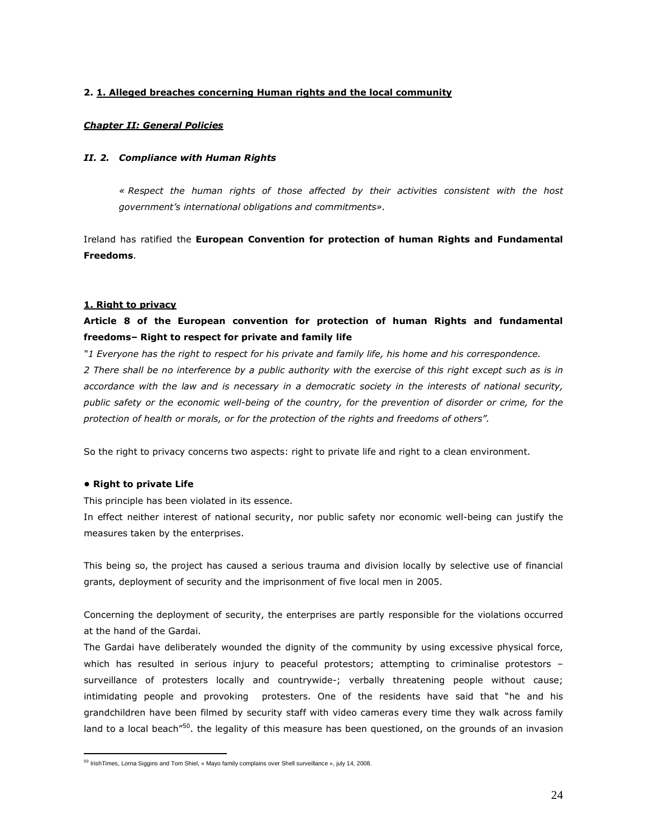## 2. 1. Alleged breaches concerning Human rights and the local community

## Chapter II: General Policies

## II. 2. Compliance with Human Rights

 « Respect the human rights of those affected by their activities consistent with the host government's international obligations and commitments».

Ireland has ratified the European Convention for protection of human Rights and Fundamental Freedoms.

### 1. Right to privacy

# Article 8 of the European convention for protection of human Rights and fundamental freedoms– Right to respect for private and family life

"1 Everyone has the right to respect for his private and family life, his home and his correspondence. 2 There shall be no interference by a public authority with the exercise of this right except such as is in accordance with the law and is necessary in a democratic society in the interests of national security, public safety or the economic well-being of the country, for the prevention of disorder or crime, for the protection of health or morals, or for the protection of the rights and freedoms of others".

So the right to privacy concerns two aspects: right to private life and right to a clean environment.

### • Right to private Life

This principle has been violated in its essence.

In effect neither interest of national security, nor public safety nor economic well-being can justify the measures taken by the enterprises.

This being so, the project has caused a serious trauma and division locally by selective use of financial grants, deployment of security and the imprisonment of five local men in 2005.

Concerning the deployment of security, the enterprises are partly responsible for the violations occurred at the hand of the Gardai.

The Gardai have deliberately wounded the dignity of the community by using excessive physical force, which has resulted in serious injury to peaceful protestors; attempting to criminalise protestors – surveillance of protesters locally and countrywide-; verbally threatening people without cause; intimidating people and provoking protesters. One of the residents have said that "he and his grandchildren have been filmed by security staff with video cameras every time they walk across family land to a local beach<sup>"50</sup>, the legality of this measure has been questioned, on the grounds of an invasion

 <sup>50</sup> IrishTimes, Lorna Siggins and Tom Shiel, « Mayo family complains over Shell surveillance », july 14, 2008.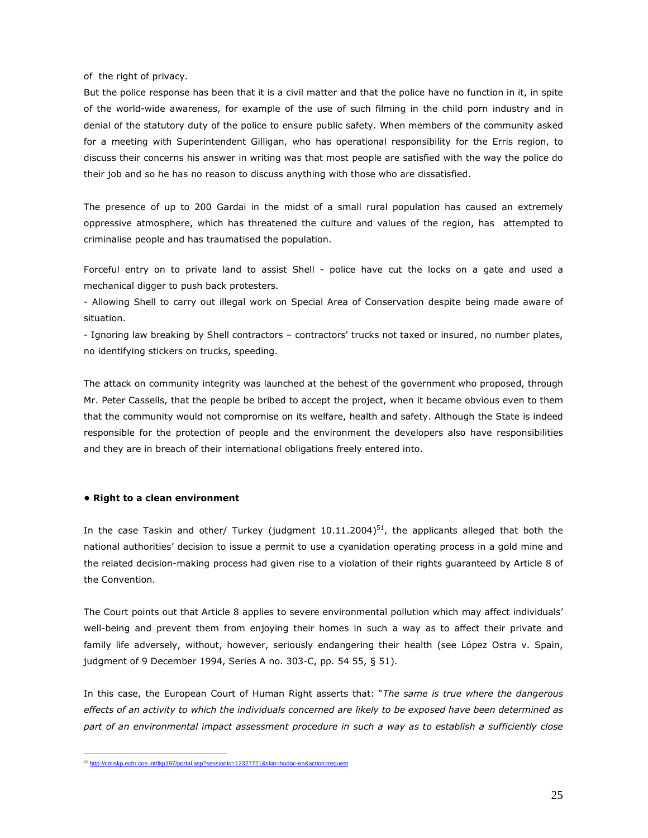of the right of privacy.

But the police response has been that it is a civil matter and that the police have no function in it, in spite of the world-wide awareness, for example of the use of such filming in the child porn industry and in denial of the statutory duty of the police to ensure public safety. When members of the community asked for a meeting with Superintendent Gilligan, who has operational responsibility for the Erris region, to discuss their concerns his answer in writing was that most people are satisfied with the way the police do their job and so he has no reason to discuss anything with those who are dissatisfied.

The presence of up to 200 Gardai in the midst of a small rural population has caused an extremely oppressive atmosphere, which has threatened the culture and values of the region, has attempted to criminalise people and has traumatised the population.

Forceful entry on to private land to assist Shell - police have cut the locks on a gate and used a mechanical digger to push back protesters.

- Allowing Shell to carry out illegal work on Special Area of Conservation despite being made aware of situation.

- Ignoring law breaking by Shell contractors – contractors' trucks not taxed or insured, no number plates, no identifying stickers on trucks, speeding.

The attack on community integrity was launched at the behest of the government who proposed, through Mr. Peter Cassells, that the people be bribed to accept the project, when it became obvious even to them that the community would not compromise on its welfare, health and safety. Although the State is indeed responsible for the protection of people and the environment the developers also have responsibilities and they are in breach of their international obligations freely entered into.

#### • Right to a clean environment

 $\overline{a}$ 

In the case Taskin and other/ Turkey (judgment  $10.11.2004$ )<sup>51</sup>, the applicants alleged that both the national authorities' decision to issue a permit to use a cyanidation operating process in a gold mine and the related decision-making process had given rise to a violation of their rights guaranteed by Article 8 of the Convention.

The Court points out that Article 8 applies to severe environmental pollution which may affect individuals' well-being and prevent them from enjoying their homes in such a way as to affect their private and family life adversely, without, however, seriously endangering their health (see López Ostra v. Spain, judgment of 9 December 1994, Series A no. 303-C, pp. 54 55, § 51).

In this case, the European Court of Human Right asserts that: "The same is true where the dangerous effects of an activity to which the individuals concerned are likely to be exposed have been determined as part of an environmental impact assessment procedure in such a way as to establish a sufficiently close

<sup>51</sup> http://cmiskp.echr.coe.int/tkp197/portal.asp?sessionId=12327721&skin=hudoc-en&action=request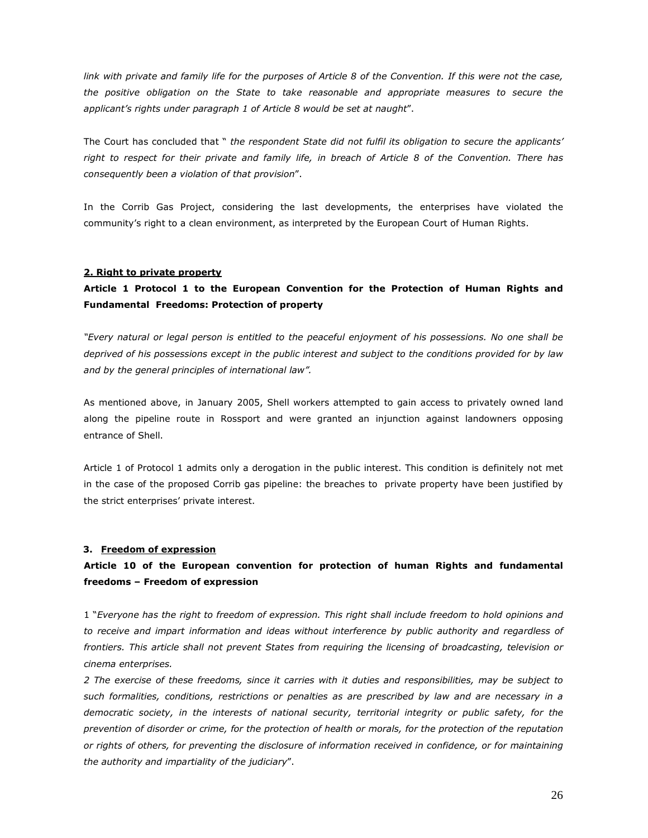link with private and family life for the purposes of Article 8 of the Convention. If this were not the case, the positive obligation on the State to take reasonable and appropriate measures to secure the applicant's rights under paragraph 1 of Article 8 would be set at naught".

The Court has concluded that " the respondent State did not fulfil its obligation to secure the applicants' right to respect for their private and family life, in breach of Article 8 of the Convention. There has consequently been a violation of that provision".

In the Corrib Gas Project, considering the last developments, the enterprises have violated the community's right to a clean environment, as interpreted by the European Court of Human Rights.

#### 2. Right to private property

# Article 1 Protocol 1 to the European Convention for the Protection of Human Rights and Fundamental Freedoms: Protection of property

"Every natural or legal person is entitled to the peaceful enjoyment of his possessions. No one shall be deprived of his possessions except in the public interest and subject to the conditions provided for by law and by the general principles of international law".

As mentioned above, in January 2005, Shell workers attempted to gain access to privately owned land along the pipeline route in Rossport and were granted an injunction against landowners opposing entrance of Shell.

Article 1 of Protocol 1 admits only a derogation in the public interest. This condition is definitely not met in the case of the proposed Corrib gas pipeline: the breaches to private property have been justified by the strict enterprises' private interest.

#### 3. Freedom of expression

# Article 10 of the European convention for protection of human Rights and fundamental freedoms – Freedom of expression

1 "Everyone has the right to freedom of expression. This right shall include freedom to hold opinions and to receive and impart information and ideas without interference by public authority and regardless of frontiers. This article shall not prevent States from requiring the licensing of broadcasting, television or cinema enterprises.

2 The exercise of these freedoms, since it carries with it duties and responsibilities, may be subject to such formalities, conditions, restrictions or penalties as are prescribed by law and are necessary in a democratic society, in the interests of national security, territorial integrity or public safety, for the prevention of disorder or crime, for the protection of health or morals, for the protection of the reputation or rights of others, for preventing the disclosure of information received in confidence, or for maintaining the authority and impartiality of the judiciary".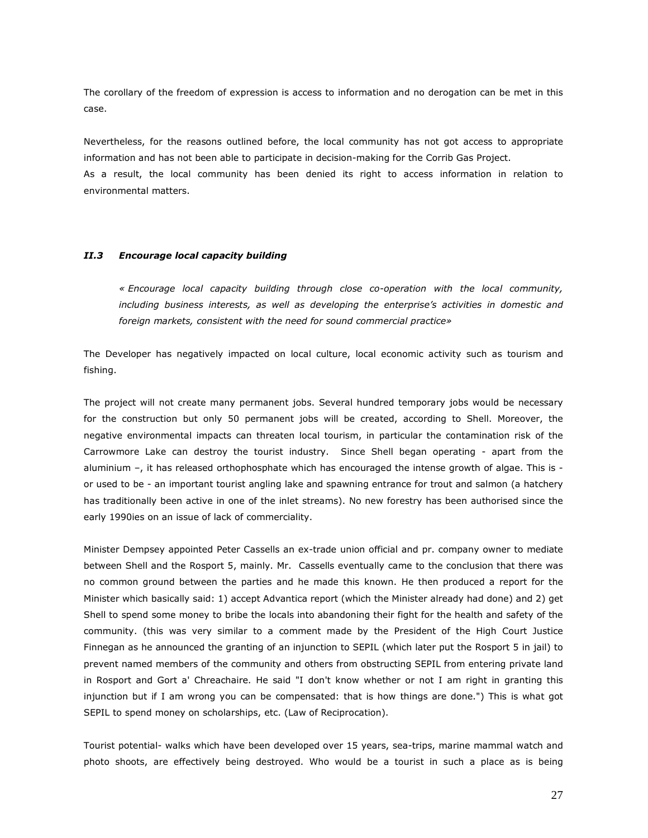The corollary of the freedom of expression is access to information and no derogation can be met in this case.

Nevertheless, for the reasons outlined before, the local community has not got access to appropriate information and has not been able to participate in decision-making for the Corrib Gas Project. As a result, the local community has been denied its right to access information in relation to environmental matters.

### II.3 Encourage local capacity building

« Encourage local capacity building through close co-operation with the local community, including business interests, as well as developing the enterprise's activities in domestic and foreign markets, consistent with the need for sound commercial practice»

The Developer has negatively impacted on local culture, local economic activity such as tourism and fishing.

The project will not create many permanent jobs. Several hundred temporary jobs would be necessary for the construction but only 50 permanent jobs will be created, according to Shell. Moreover, the negative environmental impacts can threaten local tourism, in particular the contamination risk of the Carrowmore Lake can destroy the tourist industry. Since Shell began operating - apart from the aluminium –, it has released orthophosphate which has encouraged the intense growth of algae. This is or used to be - an important tourist angling lake and spawning entrance for trout and salmon (a hatchery has traditionally been active in one of the inlet streams). No new forestry has been authorised since the early 1990ies on an issue of lack of commerciality.

Minister Dempsey appointed Peter Cassells an ex-trade union official and pr. company owner to mediate between Shell and the Rosport 5, mainly. Mr. Cassells eventually came to the conclusion that there was no common ground between the parties and he made this known. He then produced a report for the Minister which basically said: 1) accept Advantica report (which the Minister already had done) and 2) get Shell to spend some money to bribe the locals into abandoning their fight for the health and safety of the community. (this was very similar to a comment made by the President of the High Court Justice Finnegan as he announced the granting of an injunction to SEPIL (which later put the Rosport 5 in jail) to prevent named members of the community and others from obstructing SEPIL from entering private land in Rosport and Gort a' Chreachaire. He said "I don't know whether or not I am right in granting this injunction but if I am wrong you can be compensated: that is how things are done.") This is what got SEPIL to spend money on scholarships, etc. (Law of Reciprocation).

Tourist potential- walks which have been developed over 15 years, sea-trips, marine mammal watch and photo shoots, are effectively being destroyed. Who would be a tourist in such a place as is being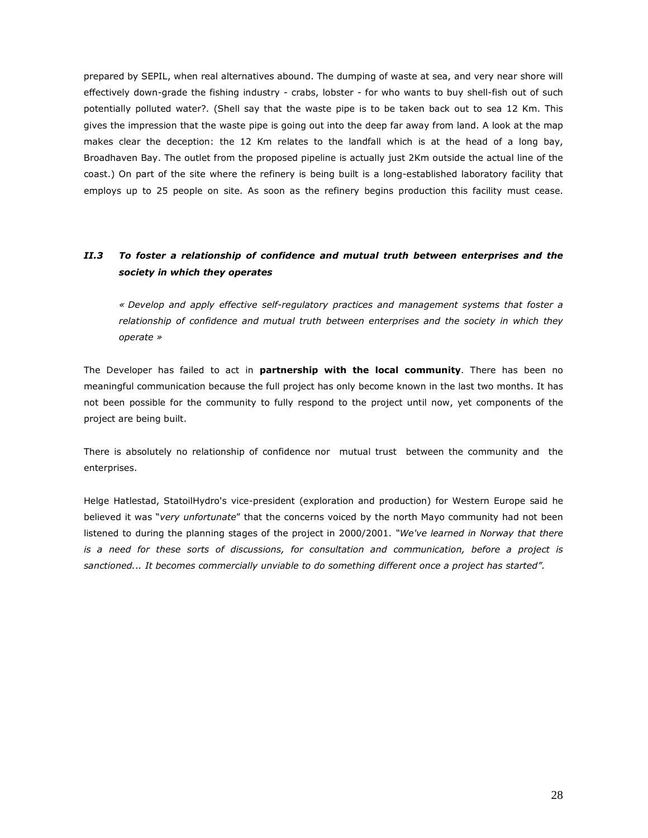prepared by SEPIL, when real alternatives abound. The dumping of waste at sea, and very near shore will effectively down-grade the fishing industry - crabs, lobster - for who wants to buy shell-fish out of such potentially polluted water?. (Shell say that the waste pipe is to be taken back out to sea 12 Km. This gives the impression that the waste pipe is going out into the deep far away from land. A look at the map makes clear the deception: the 12 Km relates to the landfall which is at the head of a long bay, Broadhaven Bay. The outlet from the proposed pipeline is actually just 2Km outside the actual line of the coast.) On part of the site where the refinery is being built is a long-established laboratory facility that employs up to 25 people on site. As soon as the refinery begins production this facility must cease.

# II.3 To foster a relationship of confidence and mutual truth between enterprises and the society in which they operates

« Develop and apply effective self-regulatory practices and management systems that foster a relationship of confidence and mutual truth between enterprises and the society in which they operate »

The Developer has failed to act in partnership with the local community. There has been no meaningful communication because the full project has only become known in the last two months. It has not been possible for the community to fully respond to the project until now, yet components of the project are being built.

There is absolutely no relationship of confidence nor mutual trust between the community and the enterprises.

Helge Hatlestad, StatoilHydro's vice-president (exploration and production) for Western Europe said he believed it was "very unfortunate" that the concerns voiced by the north Mayo community had not been listened to during the planning stages of the project in 2000/2001. "We've learned in Norway that there is a need for these sorts of discussions, for consultation and communication, before a project is sanctioned... It becomes commercially unviable to do something different once a project has started".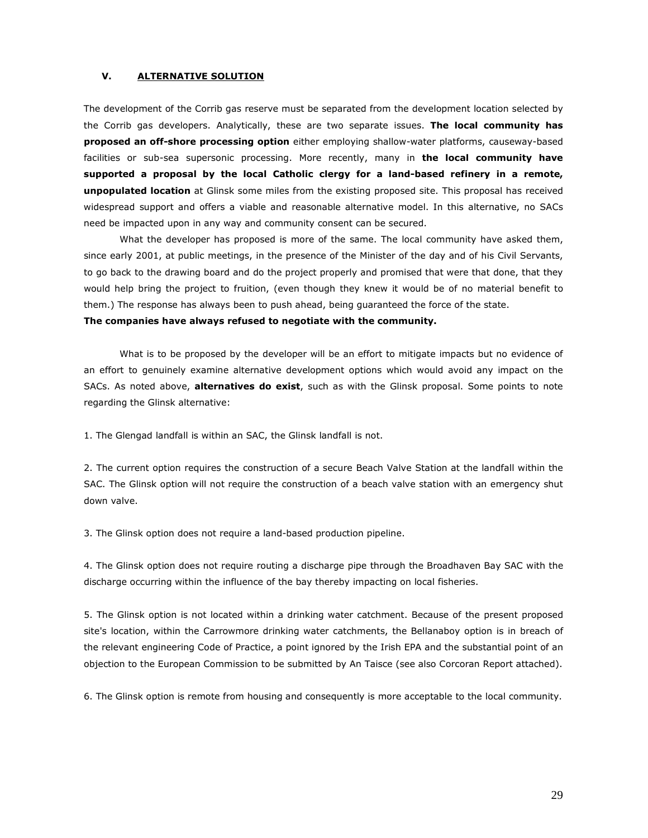## V. ALTERNATIVE SOLUTION

The development of the Corrib gas reserve must be separated from the development location selected by the Corrib gas developers. Analytically, these are two separate issues. The local community has proposed an off-shore processing option either employing shallow-water platforms, causeway-based facilities or sub-sea supersonic processing. More recently, many in the local community have supported a proposal by the local Catholic clergy for a land-based refinery in a remote, unpopulated location at Glinsk some miles from the existing proposed site. This proposal has received widespread support and offers a viable and reasonable alternative model. In this alternative, no SACs need be impacted upon in any way and community consent can be secured.

What the developer has proposed is more of the same. The local community have asked them, since early 2001, at public meetings, in the presence of the Minister of the day and of his Civil Servants, to go back to the drawing board and do the project properly and promised that were that done, that they would help bring the project to fruition, (even though they knew it would be of no material benefit to them.) The response has always been to push ahead, being guaranteed the force of the state.

#### The companies have always refused to negotiate with the community.

What is to be proposed by the developer will be an effort to mitigate impacts but no evidence of an effort to genuinely examine alternative development options which would avoid any impact on the SACs. As noted above, alternatives do exist, such as with the Glinsk proposal. Some points to note regarding the Glinsk alternative:

1. The Glengad landfall is within an SAC, the Glinsk landfall is not.

2. The current option requires the construction of a secure Beach Valve Station at the landfall within the SAC. The Glinsk option will not require the construction of a beach valve station with an emergency shut down valve.

3. The Glinsk option does not require a land-based production pipeline.

4. The Glinsk option does not require routing a discharge pipe through the Broadhaven Bay SAC with the discharge occurring within the influence of the bay thereby impacting on local fisheries.

5. The Glinsk option is not located within a drinking water catchment. Because of the present proposed site's location, within the Carrowmore drinking water catchments, the Bellanaboy option is in breach of the relevant engineering Code of Practice, a point ignored by the Irish EPA and the substantial point of an objection to the European Commission to be submitted by An Taisce (see also Corcoran Report attached).

6. The Glinsk option is remote from housing and consequently is more acceptable to the local community.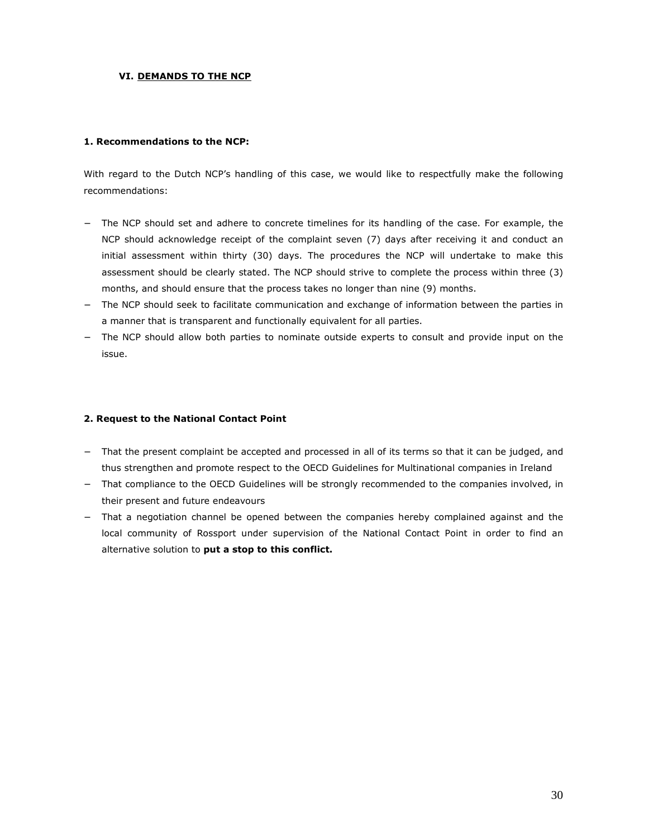## VI. DEMANDS TO THE NCP

### 1. Recommendations to the NCP:

With regard to the Dutch NCP's handling of this case, we would like to respectfully make the following recommendations:

- The NCP should set and adhere to concrete timelines for its handling of the case. For example, the NCP should acknowledge receipt of the complaint seven (7) days after receiving it and conduct an initial assessment within thirty (30) days. The procedures the NCP will undertake to make this assessment should be clearly stated. The NCP should strive to complete the process within three (3) months, and should ensure that the process takes no longer than nine (9) months.
- − The NCP should seek to facilitate communication and exchange of information between the parties in a manner that is transparent and functionally equivalent for all parties.
- The NCP should allow both parties to nominate outside experts to consult and provide input on the issue.

## 2. Request to the National Contact Point

- − That the present complaint be accepted and processed in all of its terms so that it can be judged, and thus strengthen and promote respect to the OECD Guidelines for Multinational companies in Ireland
- That compliance to the OECD Guidelines will be strongly recommended to the companies involved, in their present and future endeavours
- − That a negotiation channel be opened between the companies hereby complained against and the local community of Rossport under supervision of the National Contact Point in order to find an alternative solution to put a stop to this conflict.